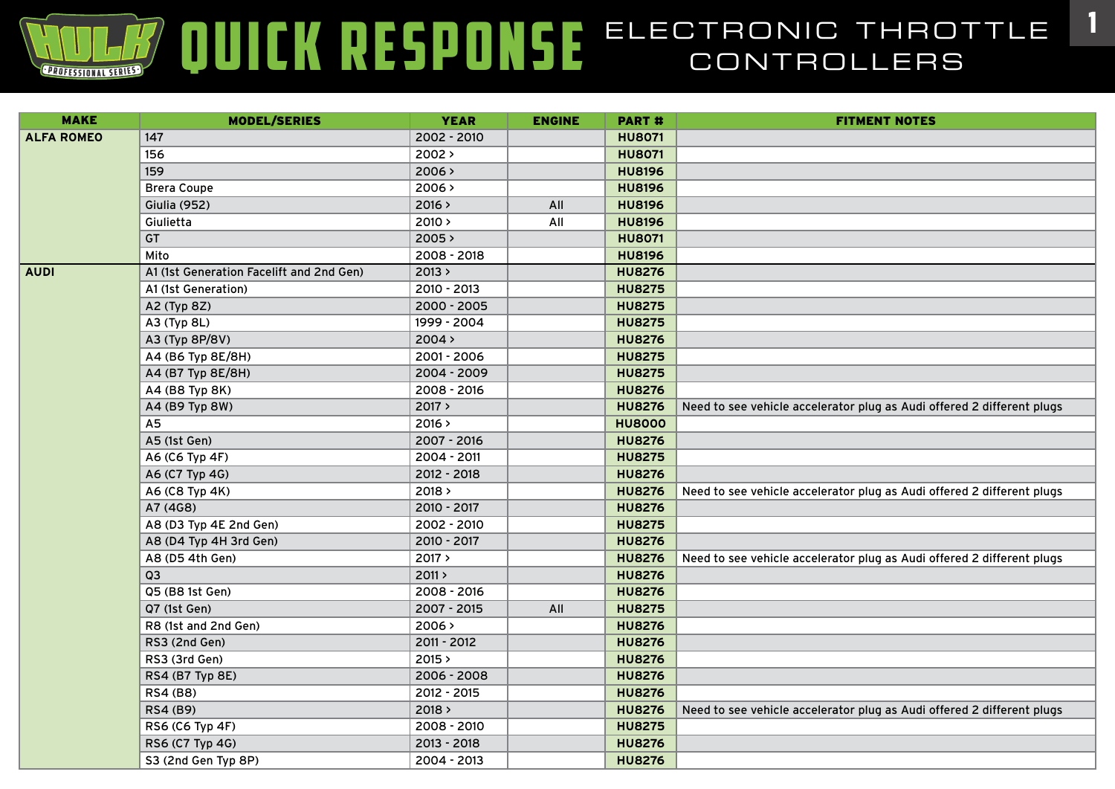| <b>MAKE</b>       | <b>MODEL/SERIES</b>                      | <b>YEAR</b> | <b>ENGINE</b> | <b>PART#</b>  | <b>FITMENT NOTES</b>                                                   |
|-------------------|------------------------------------------|-------------|---------------|---------------|------------------------------------------------------------------------|
| <b>ALFA ROMEO</b> | 147                                      | 2002 - 2010 |               | <b>HU8071</b> |                                                                        |
|                   | 156                                      | 2002 >      |               | <b>HU8071</b> |                                                                        |
|                   | 159                                      | 2006 >      |               | <b>HU8196</b> |                                                                        |
|                   | <b>Brera Coupe</b>                       | 2006 >      |               | <b>HU8196</b> |                                                                        |
|                   | <b>Giulia (952)</b>                      | 2016 >      | All           | <b>HU8196</b> |                                                                        |
|                   | Giulietta                                | 2010 >      | All           | <b>HU8196</b> |                                                                        |
|                   | <b>GT</b>                                | 2005 >      |               | <b>HU8071</b> |                                                                        |
|                   | Mito                                     | 2008 - 2018 |               | <b>HU8196</b> |                                                                        |
| <b>AUDI</b>       | A1 (1st Generation Facelift and 2nd Gen) | 2013 >      |               | <b>HU8276</b> |                                                                        |
|                   | A1 (1st Generation)                      | 2010 - 2013 |               | <b>HU8275</b> |                                                                        |
|                   | A2 (Typ 8Z)                              | 2000 - 2005 |               | <b>HU8275</b> |                                                                        |
|                   | A3 (Typ 8L)                              | 1999 - 2004 |               | <b>HU8275</b> |                                                                        |
|                   | A3 (Typ 8P/8V)                           | 2004 >      |               | <b>HU8276</b> |                                                                        |
|                   | A4 (B6 Typ 8E/8H)                        | 2001 - 2006 |               | <b>HU8275</b> |                                                                        |
|                   | A4 (B7 Typ 8E/8H)                        | 2004 - 2009 |               | <b>HU8275</b> |                                                                        |
|                   | A4 (B8 Typ 8K)                           | 2008 - 2016 |               | <b>HU8276</b> |                                                                        |
|                   | A4 (B9 Typ 8W)                           | 2017 >      |               | <b>HU8276</b> | Need to see vehicle accelerator plug as Audi offered 2 different plugs |
|                   | A <sub>5</sub>                           | 2016 >      |               | <b>HU8000</b> |                                                                        |
|                   | A5 (1st Gen)                             | 2007 - 2016 |               | <b>HU8276</b> |                                                                        |
|                   | A6 (C6 Typ 4F)                           | 2004 - 2011 |               | <b>HU8275</b> |                                                                        |
|                   | A6 (C7 Typ 4G)                           | 2012 - 2018 |               | <b>HU8276</b> |                                                                        |
|                   | A6 (C8 Typ 4K)                           | 2018 >      |               | <b>HU8276</b> | Need to see vehicle accelerator plug as Audi offered 2 different plugs |
|                   | A7 (4G8)                                 | 2010 - 2017 |               | <b>HU8276</b> |                                                                        |
|                   | A8 (D3 Typ 4E 2nd Gen)                   | 2002 - 2010 |               | <b>HU8275</b> |                                                                        |
|                   | A8 (D4 Typ 4H 3rd Gen)                   | 2010 - 2017 |               | <b>HU8276</b> |                                                                        |
|                   | A8 (D5 4th Gen)                          | 2017 >      |               | <b>HU8276</b> | Need to see vehicle accelerator plug as Audi offered 2 different plugs |
|                   | 03                                       | 2011 >      |               | <b>HU8276</b> |                                                                        |
|                   | Q5 (B8 1st Gen)                          | 2008 - 2016 |               | <b>HU8276</b> |                                                                        |
|                   | Q7 (1st Gen)                             | 2007 - 2015 | All           | <b>HU8275</b> |                                                                        |
|                   | R8 (1st and 2nd Gen)                     | 2006 >      |               | <b>HU8276</b> |                                                                        |
|                   | RS3 (2nd Gen)                            | 2011 - 2012 |               | <b>HU8276</b> |                                                                        |
|                   | RS3 (3rd Gen)                            | 2015 >      |               | <b>HU8276</b> |                                                                        |
|                   | RS4 (B7 Typ 8E)                          | 2006 - 2008 |               | <b>HU8276</b> |                                                                        |
|                   | RS4 (B8)                                 | 2012 - 2015 |               | <b>HU8276</b> |                                                                        |
|                   | RS4 (B9)                                 | 2018 >      |               | <b>HU8276</b> | Need to see vehicle accelerator plug as Audi offered 2 different plugs |
|                   | RS6 (C6 Typ 4F)                          | 2008 - 2010 |               | <b>HU8275</b> |                                                                        |
|                   | RS6 (C7 Typ 4G)                          | 2013 - 2018 |               | <b>HU8276</b> |                                                                        |
|                   | S3 (2nd Gen Typ 8P)                      | 2004 - 2013 |               | <b>HU8276</b> |                                                                        |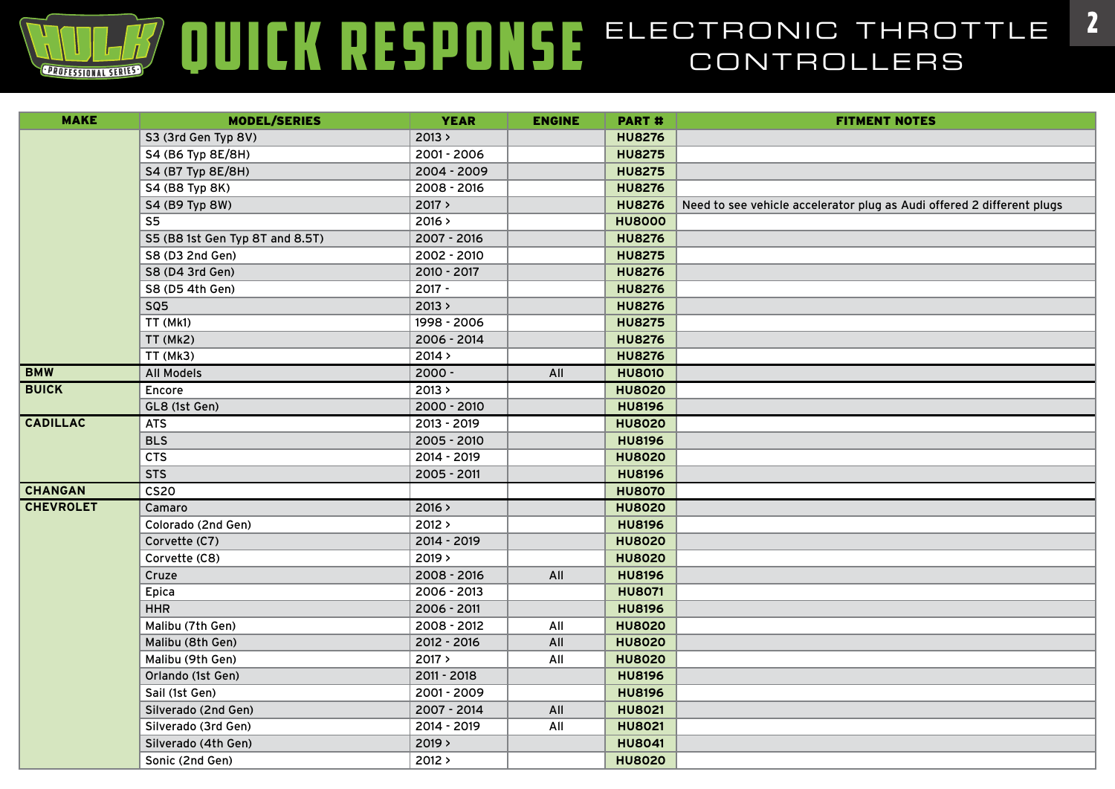| <b>MAKE</b>      | <b>MODEL/SERIES</b>             | <b>YEAR</b> | <b>ENGINE</b> | <b>PART#</b>  | <b>FITMENT NOTES</b>                                                   |
|------------------|---------------------------------|-------------|---------------|---------------|------------------------------------------------------------------------|
|                  | S3 (3rd Gen Typ 8V)             | 2013 >      |               | <b>HU8276</b> |                                                                        |
|                  | S4 (B6 Typ 8E/8H)               | 2001 - 2006 |               | <b>HU8275</b> |                                                                        |
|                  | S4 (B7 Typ 8E/8H)               | 2004 - 2009 |               | <b>HU8275</b> |                                                                        |
|                  | S4 (B8 Typ 8K)                  | 2008 - 2016 |               | <b>HU8276</b> |                                                                        |
|                  | S4 (B9 Typ 8W)                  | 2017 >      |               | <b>HU8276</b> | Need to see vehicle accelerator plug as Audi offered 2 different plugs |
|                  | S <sub>5</sub>                  | 2016 >      |               | <b>HU8000</b> |                                                                        |
|                  | S5 (B8 1st Gen Typ 8T and 8.5T) | 2007 - 2016 |               | <b>HU8276</b> |                                                                        |
|                  | S8 (D3 2nd Gen)                 | 2002 - 2010 |               | <b>HU8275</b> |                                                                        |
|                  | S8 (D4 3rd Gen)                 | 2010 - 2017 |               | <b>HU8276</b> |                                                                        |
|                  | S8 (D5 4th Gen)                 | 2017 -      |               | <b>HU8276</b> |                                                                        |
|                  | SQ <sub>5</sub>                 | 2013 >      |               | <b>HU8276</b> |                                                                        |
|                  | TT (Mk1)                        | 1998 - 2006 |               | <b>HU8275</b> |                                                                        |
|                  | TT (Mk2)                        | 2006 - 2014 |               | <b>HU8276</b> |                                                                        |
|                  | TT (Mk3)                        | 2014 >      |               | <b>HU8276</b> |                                                                        |
| <b>BMW</b>       | <b>All Models</b>               | $2000 -$    | All           | <b>HU8010</b> |                                                                        |
| <b>BUICK</b>     | Encore                          | 2013 >      |               | <b>HU8020</b> |                                                                        |
|                  | GL8 (1st Gen)                   | 2000 - 2010 |               | <b>HU8196</b> |                                                                        |
| <b>CADILLAC</b>  | <b>ATS</b>                      | 2013 - 2019 |               | <b>HU8020</b> |                                                                        |
|                  | <b>BLS</b>                      | 2005 - 2010 |               | <b>HU8196</b> |                                                                        |
|                  | <b>CTS</b>                      | 2014 - 2019 |               | <b>HU8020</b> |                                                                        |
|                  | <b>STS</b>                      | 2005 - 2011 |               | <b>HU8196</b> |                                                                        |
| <b>CHANGAN</b>   | CS <sub>20</sub>                |             |               | <b>HU8070</b> |                                                                        |
| <b>CHEVROLET</b> | Camaro                          | 2016 >      |               | <b>HU8020</b> |                                                                        |
|                  | Colorado (2nd Gen)              | 2012 >      |               | <b>HU8196</b> |                                                                        |
|                  | Corvette (C7)                   | 2014 - 2019 |               | <b>HU8020</b> |                                                                        |
|                  | Corvette (C8)                   | 2019 >      |               | <b>HU8020</b> |                                                                        |
|                  | Cruze                           | 2008 - 2016 | All           | <b>HU8196</b> |                                                                        |
|                  | Epica                           | 2006 - 2013 |               | <b>HU8071</b> |                                                                        |
|                  | <b>HHR</b>                      | 2006 - 2011 |               | <b>HU8196</b> |                                                                        |
|                  | Malibu (7th Gen)                | 2008 - 2012 | All           | <b>HU8020</b> |                                                                        |
|                  | Malibu (8th Gen)                | 2012 - 2016 | All           | <b>HU8020</b> |                                                                        |
|                  | Malibu (9th Gen)                | 2017 >      | All           | <b>HU8020</b> |                                                                        |
|                  | Orlando (1st Gen)               | 2011 - 2018 |               | <b>HU8196</b> |                                                                        |
|                  | Sail (1st Gen)                  | 2001 - 2009 |               | <b>HU8196</b> |                                                                        |
|                  | Silverado (2nd Gen)             | 2007 - 2014 | All           | <b>HU8021</b> |                                                                        |
|                  | Silverado (3rd Gen)             | 2014 - 2019 | All           | <b>HU8021</b> |                                                                        |
|                  | Silverado (4th Gen)             | 2019 >      |               | <b>HU8041</b> |                                                                        |
|                  | Sonic (2nd Gen)                 | 2012 >      |               | <b>HU8020</b> |                                                                        |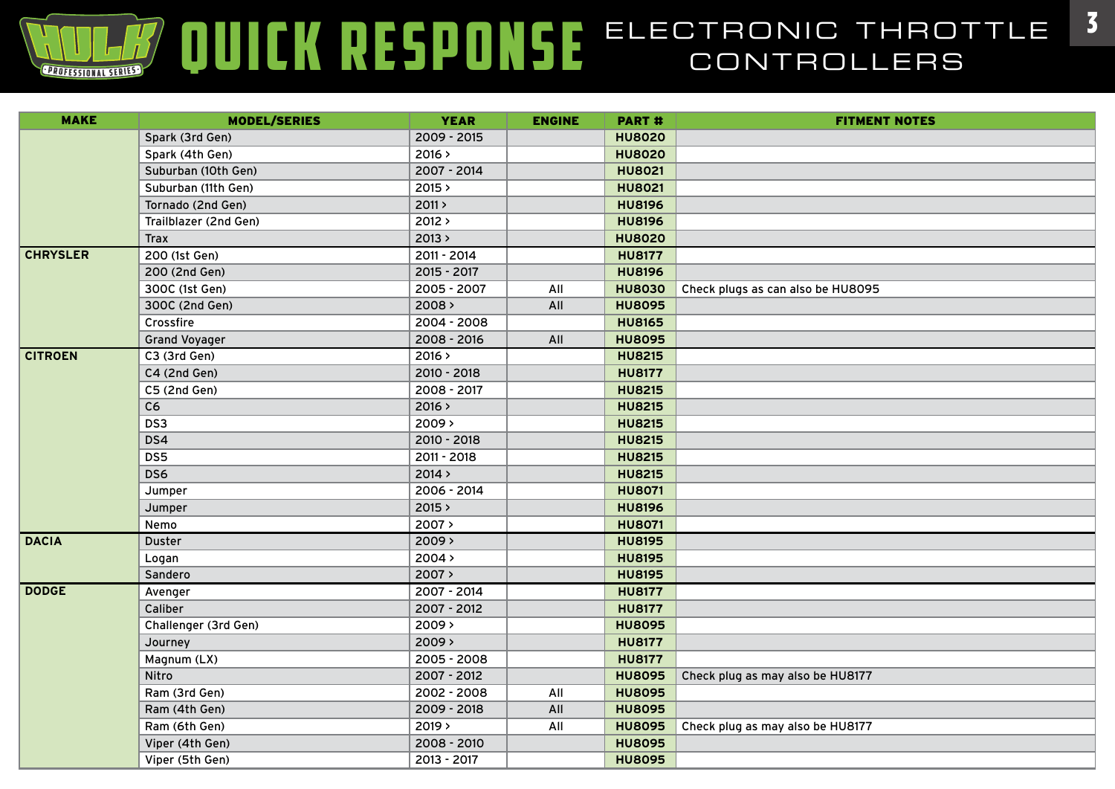| <b>MAKE</b>     | <b>MODEL/SERIES</b>   | <b>YEAR</b> | <b>ENGINE</b> | <b>PART#</b>  | <b>FITMENT NOTES</b>              |
|-----------------|-----------------------|-------------|---------------|---------------|-----------------------------------|
|                 | Spark (3rd Gen)       | 2009 - 2015 |               | <b>HU8020</b> |                                   |
|                 | Spark (4th Gen)       | 2016 >      |               | <b>HU8020</b> |                                   |
|                 | Suburban (10th Gen)   | 2007 - 2014 |               | <b>HU8021</b> |                                   |
|                 | Suburban (11th Gen)   | 2015 >      |               | <b>HU8021</b> |                                   |
|                 | Tornado (2nd Gen)     | 2011 >      |               | <b>HU8196</b> |                                   |
|                 | Trailblazer (2nd Gen) | 2012 >      |               | <b>HU8196</b> |                                   |
|                 | <b>Trax</b>           | 2013 >      |               | <b>HU8020</b> |                                   |
| <b>CHRYSLER</b> | 200 (1st Gen)         | 2011 - 2014 |               | <b>HU8177</b> |                                   |
|                 | 200 (2nd Gen)         | 2015 - 2017 |               | <b>HU8196</b> |                                   |
|                 | 300C (1st Gen)        | 2005 - 2007 | All           | <b>HU8030</b> | Check plugs as can also be HU8095 |
|                 | 300C (2nd Gen)        | 2008 >      | All           | <b>HU8095</b> |                                   |
|                 | Crossfire             | 2004 - 2008 |               | <b>HU8165</b> |                                   |
|                 | <b>Grand Voyager</b>  | 2008 - 2016 | All           | <b>HU8095</b> |                                   |
| <b>CITROEN</b>  | C3 (3rd Gen)          | 2016 >      |               | <b>HU8215</b> |                                   |
|                 | C4 (2nd Gen)          | 2010 - 2018 |               | <b>HU8177</b> |                                   |
|                 | C5 (2nd Gen)          | 2008 - 2017 |               | <b>HU8215</b> |                                   |
|                 | C6                    | 2016 >      |               | <b>HU8215</b> |                                   |
|                 | DS3                   | 2009 >      |               | <b>HU8215</b> |                                   |
|                 | DS4                   | 2010 - 2018 |               | <b>HU8215</b> |                                   |
|                 | DS5                   | 2011 - 2018 |               | <b>HU8215</b> |                                   |
|                 | DS6                   | 2014 >      |               | <b>HU8215</b> |                                   |
|                 | Jumper                | 2006 - 2014 |               | <b>HU8071</b> |                                   |
|                 | Jumper                | 2015 >      |               | <b>HU8196</b> |                                   |
|                 | Nemo                  | 2007 >      |               | <b>HU8071</b> |                                   |
| <b>DACIA</b>    | Duster                | 2009 >      |               | <b>HU8195</b> |                                   |
|                 | Logan                 | 2004 >      |               | <b>HU8195</b> |                                   |
|                 | Sandero               | 2007 >      |               | <b>HU8195</b> |                                   |
| <b>DODGE</b>    | Avenger               | 2007 - 2014 |               | <b>HU8177</b> |                                   |
|                 | Caliber               | 2007 - 2012 |               | <b>HU8177</b> |                                   |
|                 | Challenger (3rd Gen)  | $2009$ >    |               | <b>HU8095</b> |                                   |
|                 | Journey               | $2009$ >    |               | <b>HU8177</b> |                                   |
|                 | Magnum (LX)           | 2005 - 2008 |               | <b>HU8177</b> |                                   |
|                 | Nitro                 | 2007 - 2012 |               | <b>HU8095</b> | Check plug as may also be HU8177  |
|                 | Ram (3rd Gen)         | 2002 - 2008 | All           | <b>HU8095</b> |                                   |
|                 | Ram (4th Gen)         | 2009 - 2018 | All           | <b>HU8095</b> |                                   |
|                 | Ram (6th Gen)         | 2019 >      | All           | <b>HU8095</b> | Check plug as may also be HU8177  |
|                 | Viper (4th Gen)       | 2008 - 2010 |               | <b>HU8095</b> |                                   |
|                 | Viper (5th Gen)       | 2013 - 2017 |               | <b>HU8095</b> |                                   |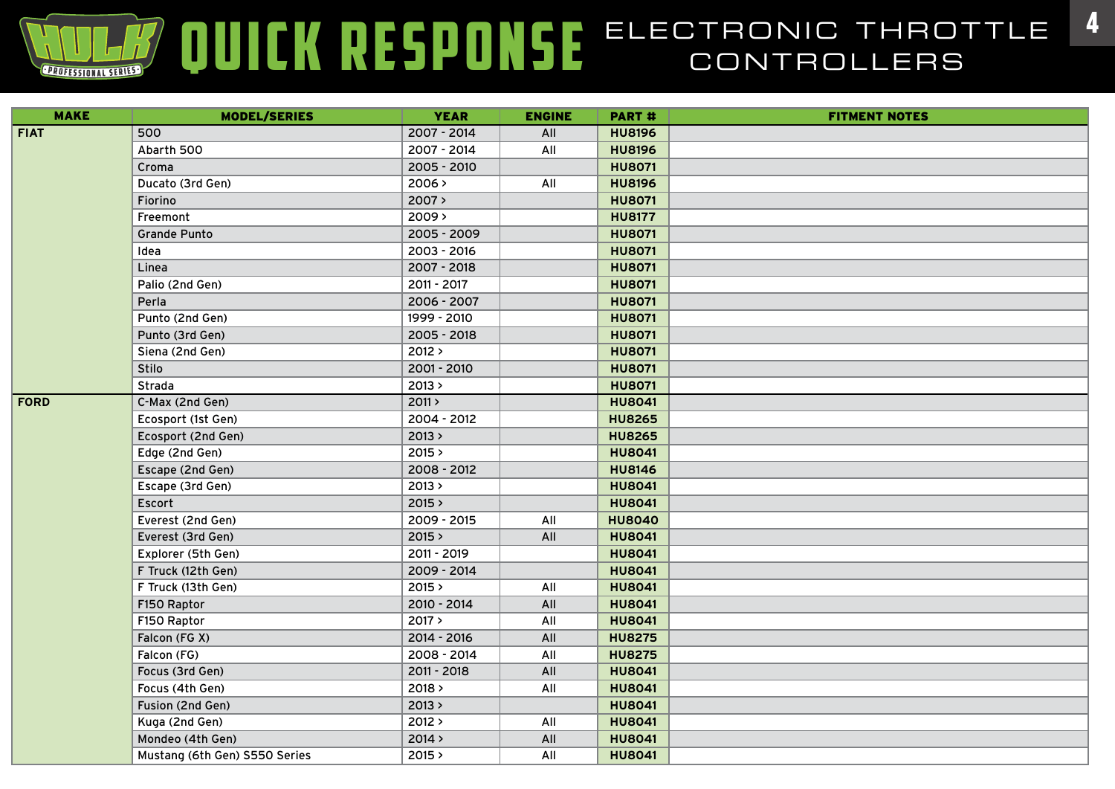| <b>MAKE</b> | <b>MODEL/SERIES</b>           | <b>YEAR</b> | <b>ENGINE</b> | <b>PART#</b>  | <b>FITMENT NOTES</b> |
|-------------|-------------------------------|-------------|---------------|---------------|----------------------|
| <b>FIAT</b> | 500                           | 2007 - 2014 | All           | <b>HU8196</b> |                      |
|             | Abarth 500                    | 2007 - 2014 | All           | <b>HU8196</b> |                      |
|             | Croma                         | 2005 - 2010 |               | <b>HU8071</b> |                      |
|             | Ducato (3rd Gen)              | 2006 >      | All           | <b>HU8196</b> |                      |
|             | Fiorino                       | 2007 >      |               | <b>HU8071</b> |                      |
|             | Freemont                      | $2009$ >    |               | <b>HU8177</b> |                      |
|             | <b>Grande Punto</b>           | 2005 - 2009 |               | <b>HU8071</b> |                      |
|             | Idea                          | 2003 - 2016 |               | <b>HU8071</b> |                      |
|             | Linea                         | 2007 - 2018 |               | <b>HU8071</b> |                      |
|             | Palio (2nd Gen)               | 2011 - 2017 |               | <b>HU8071</b> |                      |
|             | Perla                         | 2006 - 2007 |               | <b>HU8071</b> |                      |
|             | Punto (2nd Gen)               | 1999 - 2010 |               | <b>HU8071</b> |                      |
|             | Punto (3rd Gen)               | 2005 - 2018 |               | <b>HU8071</b> |                      |
|             | Siena (2nd Gen)               | 2012 >      |               | <b>HU8071</b> |                      |
|             | Stilo                         | 2001 - 2010 |               | <b>HU8071</b> |                      |
|             | Strada                        | 2013 >      |               | <b>HU8071</b> |                      |
| <b>FORD</b> | C-Max (2nd Gen)               | 2011 >      |               | <b>HU8041</b> |                      |
|             | Ecosport (1st Gen)            | 2004 - 2012 |               | <b>HU8265</b> |                      |
|             | Ecosport (2nd Gen)            | 2013 >      |               | <b>HU8265</b> |                      |
|             | Edge (2nd Gen)                | 2015 >      |               | <b>HU8041</b> |                      |
|             | Escape (2nd Gen)              | 2008 - 2012 |               | <b>HU8146</b> |                      |
|             | Escape (3rd Gen)              | 2013 >      |               | <b>HU8041</b> |                      |
|             | Escort                        | 2015 >      |               | <b>HU8041</b> |                      |
|             | Everest (2nd Gen)             | 2009 - 2015 | All           | <b>HU8040</b> |                      |
|             | Everest (3rd Gen)             | 2015 >      | All           | <b>HU8041</b> |                      |
|             | Explorer (5th Gen)            | 2011 - 2019 |               | <b>HU8041</b> |                      |
|             | F Truck (12th Gen)            | 2009 - 2014 |               | <b>HU8041</b> |                      |
|             | F Truck (13th Gen)            | 2015 >      | All           | <b>HU8041</b> |                      |
|             | F150 Raptor                   | 2010 - 2014 | All           | <b>HU8041</b> |                      |
|             | F150 Raptor                   | 2017 >      | All           | <b>HU8041</b> |                      |
|             | Falcon (FG X)                 | 2014 - 2016 | All           | <b>HU8275</b> |                      |
|             | Falcon (FG)                   | 2008 - 2014 | All           | <b>HU8275</b> |                      |
|             | Focus (3rd Gen)               | 2011 - 2018 | All           | <b>HU8041</b> |                      |
|             | Focus (4th Gen)               | 2018 >      | All           | <b>HU8041</b> |                      |
|             | Fusion (2nd Gen)              | 2013 >      |               | <b>HU8041</b> |                      |
|             | Kuga (2nd Gen)                | 2012 >      | All           | <b>HU8041</b> |                      |
|             | Mondeo (4th Gen)              | 2014 >      | All           | <b>HU8041</b> |                      |
|             | Mustang (6th Gen) S550 Series | 2015 >      | All           | <b>HU8041</b> |                      |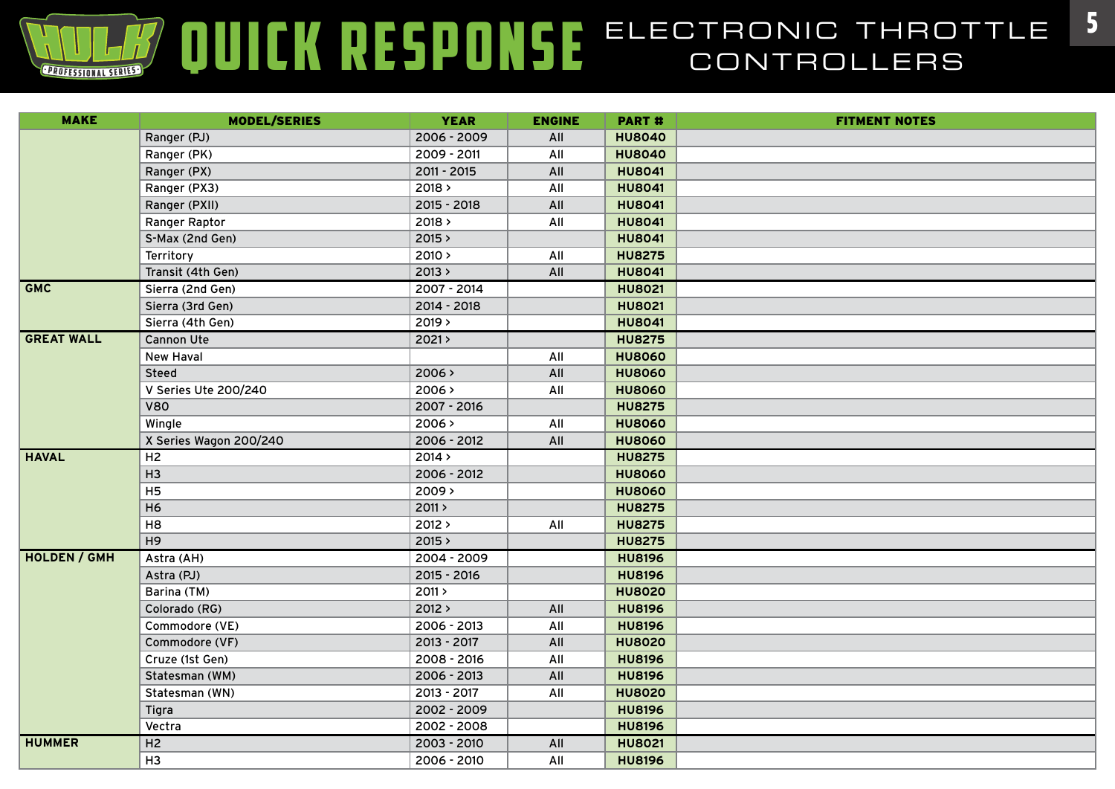| <b>MAKE</b>         | <b>MODEL/SERIES</b>    | <b>YEAR</b> | <b>ENGINE</b> | PART #        | <b>FITMENT NOTES</b> |
|---------------------|------------------------|-------------|---------------|---------------|----------------------|
|                     | Ranger (PJ)            | 2006 - 2009 | All           | <b>HU8040</b> |                      |
|                     | Ranger (PK)            | 2009 - 2011 | All           | <b>HU8040</b> |                      |
|                     | Ranger (PX)            | 2011 - 2015 | All           | <b>HU8041</b> |                      |
|                     | Ranger (PX3)           | 2018 >      | All           | <b>HU8041</b> |                      |
|                     | Ranger (PXII)          | 2015 - 2018 | All           | <b>HU8041</b> |                      |
|                     | Ranger Raptor          | 2018 >      | All           | <b>HU8041</b> |                      |
|                     | S-Max (2nd Gen)        | 2015 >      |               | <b>HU8041</b> |                      |
|                     | Territory              | 2010 >      | All           | <b>HU8275</b> |                      |
|                     | Transit (4th Gen)      | 2013 >      | All           | <b>HU8041</b> |                      |
| <b>GMC</b>          | Sierra (2nd Gen)       | 2007 - 2014 |               | <b>HU8021</b> |                      |
|                     | Sierra (3rd Gen)       | 2014 - 2018 |               | <b>HU8021</b> |                      |
|                     | Sierra (4th Gen)       | 2019 >      |               | <b>HU8041</b> |                      |
| <b>GREAT WALL</b>   | <b>Cannon Ute</b>      | 2021        |               | <b>HU8275</b> |                      |
|                     | <b>New Haval</b>       |             | All           | <b>HU8060</b> |                      |
|                     | <b>Steed</b>           | 2006 >      | All           | <b>HU8060</b> |                      |
|                     | V Series Ute 200/240   | 2006 >      | All           | <b>HU8060</b> |                      |
|                     | <b>V80</b>             | 2007 - 2016 |               | <b>HU8275</b> |                      |
|                     | Wingle                 | 2006 >      | All           | <b>HU8060</b> |                      |
|                     | X Series Wagon 200/240 | 2006 - 2012 | All           | <b>HU8060</b> |                      |
| <b>HAVAL</b>        | H2                     | 2014 >      |               | <b>HU8275</b> |                      |
|                     | H3                     | 2006 - 2012 |               | <b>HU8060</b> |                      |
|                     | H <sub>5</sub>         | 2009 >      |               | <b>HU8060</b> |                      |
|                     | H <sub>6</sub>         | 2011 >      |               | <b>HU8275</b> |                      |
|                     | H <sub>8</sub>         | 2012 >      | All           | <b>HU8275</b> |                      |
|                     | H <sub>9</sub>         | 2015 >      |               | <b>HU8275</b> |                      |
| <b>HOLDEN / GMH</b> | Astra (AH)             | 2004 - 2009 |               | <b>HU8196</b> |                      |
|                     | Astra (PJ)             | 2015 - 2016 |               | <b>HU8196</b> |                      |
|                     | Barina (TM)            | 2011 >      |               | <b>HU8020</b> |                      |
|                     | Colorado (RG)          | 2012 >      | All           | <b>HU8196</b> |                      |
|                     | Commodore (VE)         | 2006 - 2013 | All           | <b>HU8196</b> |                      |
|                     | Commodore (VF)         | 2013 - 2017 | All           | <b>HU8020</b> |                      |
|                     | Cruze (1st Gen)        | 2008 - 2016 | All           | <b>HU8196</b> |                      |
|                     | Statesman (WM)         | 2006 - 2013 | All           | <b>HU8196</b> |                      |
|                     | Statesman (WN)         | 2013 - 2017 | All           | <b>HU8020</b> |                      |
|                     | Tigra                  | 2002 - 2009 |               | <b>HU8196</b> |                      |
|                     | Vectra                 | 2002 - 2008 |               | <b>HU8196</b> |                      |
| <b>HUMMER</b>       | H2                     | 2003 - 2010 | All           | <b>HU8021</b> |                      |
|                     | H <sub>3</sub>         | 2006 - 2010 | All           | <b>HU8196</b> |                      |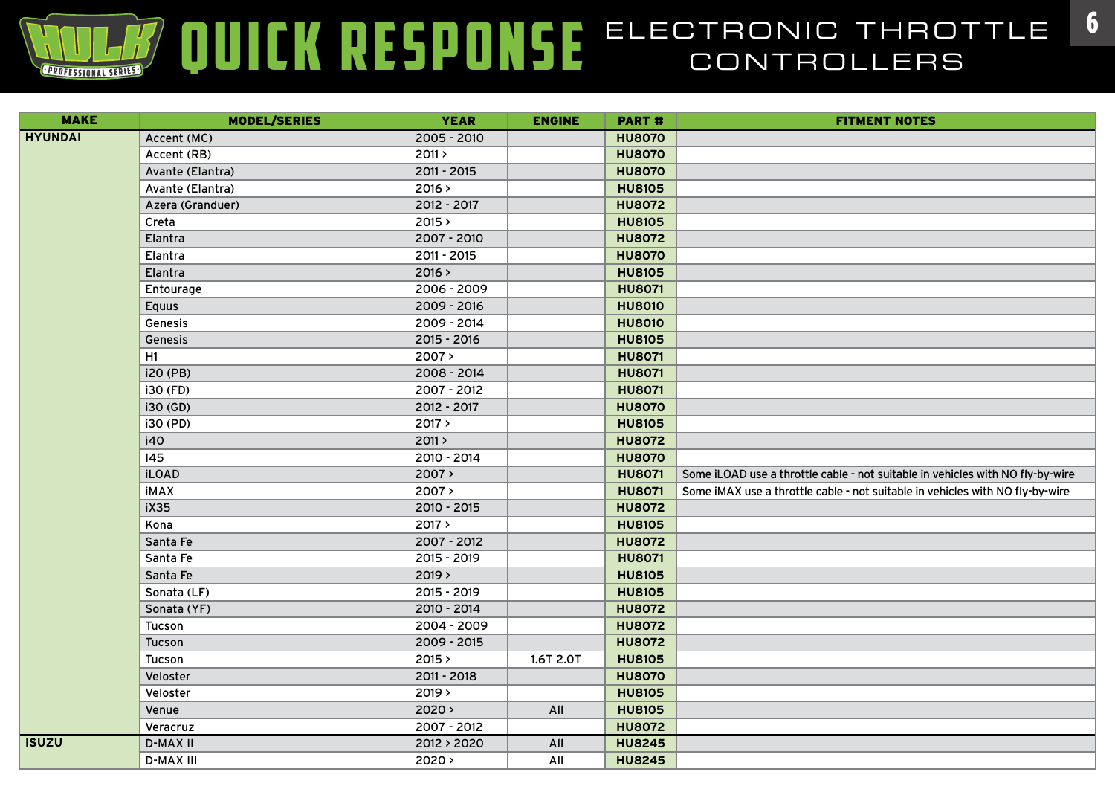| <b>MAKE</b>    | <b>MODEL/SERIES</b> | <b>YEAR</b> | <b>ENGINE</b> | <b>PART#</b>  | <b>FITMENT NOTES</b>                                                           |
|----------------|---------------------|-------------|---------------|---------------|--------------------------------------------------------------------------------|
| <b>HYUNDAI</b> | Accent (MC)         | 2005 - 2010 |               | <b>HU8070</b> |                                                                                |
|                | Accent (RB)         | 2011 >      |               | <b>HU8070</b> |                                                                                |
|                | Avante (Elantra)    | 2011 - 2015 |               | <b>HU8070</b> |                                                                                |
|                | Avante (Elantra)    | 2016 >      |               | <b>HU8105</b> |                                                                                |
|                | Azera (Granduer)    | 2012 - 2017 |               | <b>HU8072</b> |                                                                                |
|                | Creta               | 2015 >      |               | <b>HU8105</b> |                                                                                |
|                | Elantra             | 2007 - 2010 |               | <b>HU8072</b> |                                                                                |
|                | Elantra             | 2011 - 2015 |               | <b>HU8070</b> |                                                                                |
|                | Elantra             | 2016 >      |               | <b>HU8105</b> |                                                                                |
|                | Entourage           | 2006 - 2009 |               | <b>HU8071</b> |                                                                                |
|                | <b>Equus</b>        | 2009 - 2016 |               | <b>HU8010</b> |                                                                                |
|                | Genesis             | 2009 - 2014 |               | <b>HU8010</b> |                                                                                |
|                | Genesis             | 2015 - 2016 |               | <b>HU8105</b> |                                                                                |
|                | H1                  | 2007>       |               | <b>HU8071</b> |                                                                                |
|                | i20 (PB)            | 2008 - 2014 |               | <b>HU8071</b> |                                                                                |
|                | i30 (FD)            | 2007 - 2012 |               | <b>HU8071</b> |                                                                                |
|                | i30 (GD)            | 2012 - 2017 |               | <b>HU8070</b> |                                                                                |
|                | i30 (PD)            | 2017 >      |               | <b>HU8105</b> |                                                                                |
|                | i40                 | 2011 >      |               | <b>HU8072</b> |                                                                                |
|                | 145                 | 2010 - 2014 |               | <b>HU8070</b> |                                                                                |
|                | <b>iLOAD</b>        | 2007 >      |               | <b>HU8071</b> | Some iLOAD use a throttle cable - not suitable in vehicles with NO fly-by-wire |
|                | <b>iMAX</b>         | 2007 >      |               | <b>HU8071</b> | Some iMAX use a throttle cable - not suitable in vehicles with NO fly-by-wire  |
|                | <b>iX35</b>         | 2010 - 2015 |               | <b>HU8072</b> |                                                                                |
|                | Kona                | 2017 >      |               | <b>HU8105</b> |                                                                                |
|                | Santa Fe            | 2007 - 2012 |               | <b>HU8072</b> |                                                                                |
|                | Santa Fe            | 2015 - 2019 |               | <b>HU8071</b> |                                                                                |
|                | Santa Fe            | 2019 >      |               | <b>HU8105</b> |                                                                                |
|                | Sonata (LF)         | 2015 - 2019 |               | <b>HU8105</b> |                                                                                |
|                | Sonata (YF)         | 2010 - 2014 |               | <b>HU8072</b> |                                                                                |
|                | Tucson              | 2004 - 2009 |               | <b>HU8072</b> |                                                                                |
|                | Tucson              | 2009 - 2015 |               | <b>HU8072</b> |                                                                                |
|                | Tucson              | 2015 >      | 1.6T 2.0T     | <b>HU8105</b> |                                                                                |
|                | Veloster            | 2011 - 2018 |               | <b>HU8070</b> |                                                                                |
|                | Veloster            | 2019 >      |               | <b>HU8105</b> |                                                                                |
|                | Venue               | $2020$ >    | All           | <b>HU8105</b> |                                                                                |
|                | Veracruz            | 2007 - 2012 |               | <b>HU8072</b> |                                                                                |
| <b>ISUZU</b>   | <b>D-MAX II</b>     | 2012 > 2020 | All           | <b>HU8245</b> |                                                                                |
|                | <b>D-MAX III</b>    | $2020$ >    | All           | <b>HU8245</b> |                                                                                |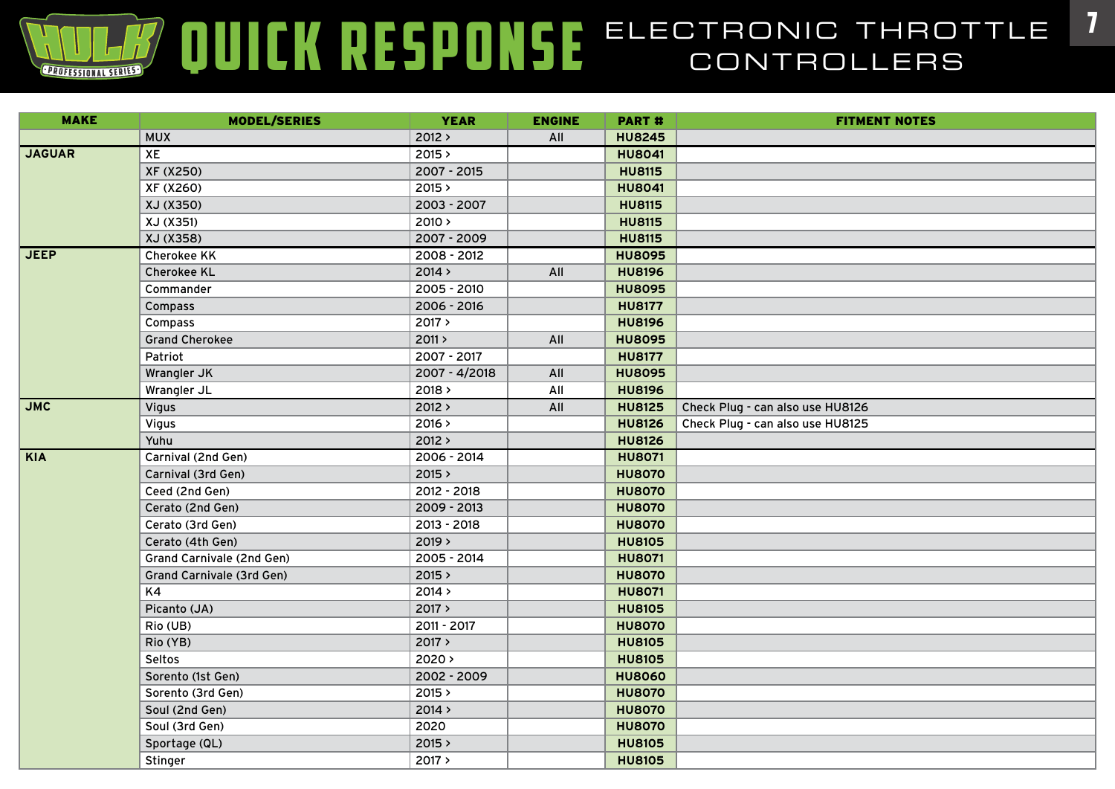| <b>MAKE</b>   | <b>MODEL/SERIES</b>       | <b>YEAR</b>   | <b>ENGINE</b> | PART#         | <b>FITMENT NOTES</b>             |
|---------------|---------------------------|---------------|---------------|---------------|----------------------------------|
|               | <b>MUX</b>                | 2012 >        | All           | <b>HU8245</b> |                                  |
| <b>JAGUAR</b> | XE                        | 2015 >        |               | <b>HU8041</b> |                                  |
|               | XF (X250)                 | 2007 - 2015   |               | <b>HU8115</b> |                                  |
|               | XF (X260)                 | 2015 >        |               | <b>HU8041</b> |                                  |
|               | XJ (X350)                 | 2003 - 2007   |               | <b>HU8115</b> |                                  |
|               | XJ (X351)                 | 2010 >        |               | <b>HU8115</b> |                                  |
|               | XJ (X358)                 | 2007 - 2009   |               | <b>HU8115</b> |                                  |
| <b>JEEP</b>   | <b>Cherokee KK</b>        | 2008 - 2012   |               | <b>HU8095</b> |                                  |
|               | <b>Cherokee KL</b>        | 2014 >        | All           | <b>HU8196</b> |                                  |
|               | Commander                 | 2005 - 2010   |               | <b>HU8095</b> |                                  |
|               | Compass                   | 2006 - 2016   |               | <b>HU8177</b> |                                  |
|               | Compass                   | 2017 >        |               | <b>HU8196</b> |                                  |
|               | <b>Grand Cherokee</b>     | 2011 >        | All           | <b>HU8095</b> |                                  |
|               | Patriot                   | 2007 - 2017   |               | <b>HU8177</b> |                                  |
|               | Wrangler JK               | 2007 - 4/2018 | All           | <b>HU8095</b> |                                  |
|               | Wrangler JL               | 2018 >        | All           | <b>HU8196</b> |                                  |
| <b>JMC</b>    | Vigus                     | 2012 >        | All           | <b>HU8125</b> | Check Plug - can also use HU8126 |
|               | <b>Vigus</b>              | 2016 >        |               | <b>HU8126</b> | Check Plug - can also use HU8125 |
|               | Yuhu                      | 2012 >        |               | <b>HU8126</b> |                                  |
| KIA           | Carnival (2nd Gen)        | $2006 - 2014$ |               | <b>HU8071</b> |                                  |
|               | Carnival (3rd Gen)        | 2015 >        |               | <b>HU8070</b> |                                  |
|               | Ceed (2nd Gen)            | 2012 - 2018   |               | <b>HU8070</b> |                                  |
|               | Cerato (2nd Gen)          | 2009 - 2013   |               | <b>HU8070</b> |                                  |
|               | Cerato (3rd Gen)          | 2013 - 2018   |               | <b>HU8070</b> |                                  |
|               | Cerato (4th Gen)          | 2019 >        |               | <b>HU8105</b> |                                  |
|               | Grand Carnivale (2nd Gen) | 2005 - 2014   |               | <b>HU8071</b> |                                  |
|               | Grand Carnivale (3rd Gen) | 2015 >        |               | <b>HU8070</b> |                                  |
|               | K4                        | 2014 >        |               | <b>HU8071</b> |                                  |
|               | Picanto (JA)              | 2017 >        |               | <b>HU8105</b> |                                  |
|               | Rio (UB)                  | 2011 - 2017   |               | <b>HU8070</b> |                                  |
|               | Rio (YB)                  | 2017 >        |               | <b>HU8105</b> |                                  |
|               | Seltos                    | $2020$ >      |               | <b>HU8105</b> |                                  |
|               | Sorento (1st Gen)         | 2002 - 2009   |               | <b>HU8060</b> |                                  |
|               | Sorento (3rd Gen)         | 2015 >        |               | <b>HU8070</b> |                                  |
|               | Soul (2nd Gen)            | 2014 >        |               | <b>HU8070</b> |                                  |
|               | Soul (3rd Gen)            | 2020          |               | <b>HU8070</b> |                                  |
|               | Sportage (QL)             | 2015 >        |               | <b>HU8105</b> |                                  |
|               | Stinger                   | 2017 >        |               | <b>HU8105</b> |                                  |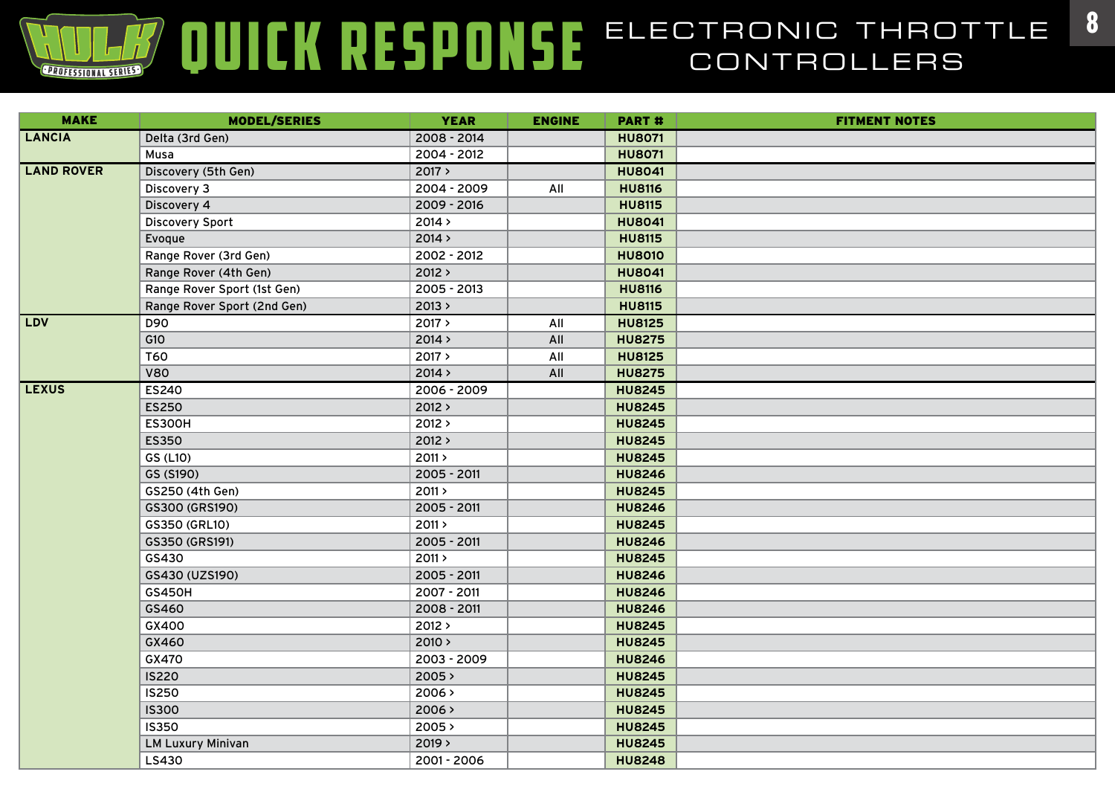| <b>MAKE</b>       | <b>MODEL/SERIES</b>         | <b>YEAR</b> | <b>ENGINE</b> | <b>PART#</b>  | <b>FITMENT NOTES</b> |
|-------------------|-----------------------------|-------------|---------------|---------------|----------------------|
| <b>LANCIA</b>     | Delta (3rd Gen)             | 2008 - 2014 |               | <b>HU8071</b> |                      |
|                   | Musa                        | 2004 - 2012 |               | <b>HU8071</b> |                      |
| <b>LAND ROVER</b> | Discovery (5th Gen)         | 2017 >      |               | <b>HU8041</b> |                      |
|                   | Discovery 3                 | 2004 - 2009 | All           | <b>HU8116</b> |                      |
|                   | Discovery 4                 | 2009 - 2016 |               | <b>HU8115</b> |                      |
|                   | <b>Discovery Sport</b>      | 2014 >      |               | <b>HU8041</b> |                      |
|                   | Evoque                      | 2014 >      |               | <b>HU8115</b> |                      |
|                   | Range Rover (3rd Gen)       | 2002 - 2012 |               | <b>HU8010</b> |                      |
|                   | Range Rover (4th Gen)       | 2012 >      |               | <b>HU8041</b> |                      |
|                   | Range Rover Sport (1st Gen) | 2005 - 2013 |               | <b>HU8116</b> |                      |
|                   | Range Rover Sport (2nd Gen) | 2013 >      |               | <b>HU8115</b> |                      |
| <b>LDV</b>        | D90                         | 2017 >      | All           | <b>HU8125</b> |                      |
|                   | G10                         | 2014 >      | All           | <b>HU8275</b> |                      |
|                   | <b>T60</b>                  | 2017 >      | All           | <b>HU8125</b> |                      |
|                   | <b>V80</b>                  | 2014 >      | All           | <b>HU8275</b> |                      |
| <b>LEXUS</b>      | <b>ES240</b>                | 2006 - 2009 |               | <b>HU8245</b> |                      |
|                   | <b>ES250</b>                | 2012 >      |               | <b>HU8245</b> |                      |
|                   | <b>ES300H</b>               | 2012 >      |               | <b>HU8245</b> |                      |
|                   | <b>ES350</b>                | 2012 >      |               | <b>HU8245</b> |                      |
|                   | GS (L10)                    | 2011 >      |               | <b>HU8245</b> |                      |
|                   | GS (S190)                   | 2005 - 2011 |               | <b>HU8246</b> |                      |
|                   | GS250 (4th Gen)             | 2011 >      |               | <b>HU8245</b> |                      |
|                   | GS300 (GRS190)              | 2005 - 2011 |               | <b>HU8246</b> |                      |
|                   | GS350 (GRL10)               | 2011 >      |               | <b>HU8245</b> |                      |
|                   | GS350 (GRS191)              | 2005 - 2011 |               | <b>HU8246</b> |                      |
|                   | GS430                       | 2011 >      |               | <b>HU8245</b> |                      |
|                   | GS430 (UZS190)              | 2005 - 2011 |               | <b>HU8246</b> |                      |
|                   | <b>GS450H</b>               | 2007 - 2011 |               | <b>HU8246</b> |                      |
|                   | GS460                       | 2008 - 2011 |               | <b>HU8246</b> |                      |
|                   | GX400                       | 2012 >      |               | <b>HU8245</b> |                      |
|                   | GX460                       | 2010 >      |               | <b>HU8245</b> |                      |
|                   | GX470                       | 2003 - 2009 |               | <b>HU8246</b> |                      |
|                   | <b>IS220</b>                | 2005 >      |               | <b>HU8245</b> |                      |
|                   | <b>IS250</b>                | 2006 >      |               | <b>HU8245</b> |                      |
|                   | <b>IS300</b>                | 2006 >      |               | <b>HU8245</b> |                      |
|                   | <b>IS350</b>                | 2005 >      |               | <b>HU8245</b> |                      |
|                   | <b>LM Luxury Minivan</b>    | 2019 >      |               | <b>HU8245</b> |                      |
|                   | LS430                       | 2001 - 2006 |               | <b>HU8248</b> |                      |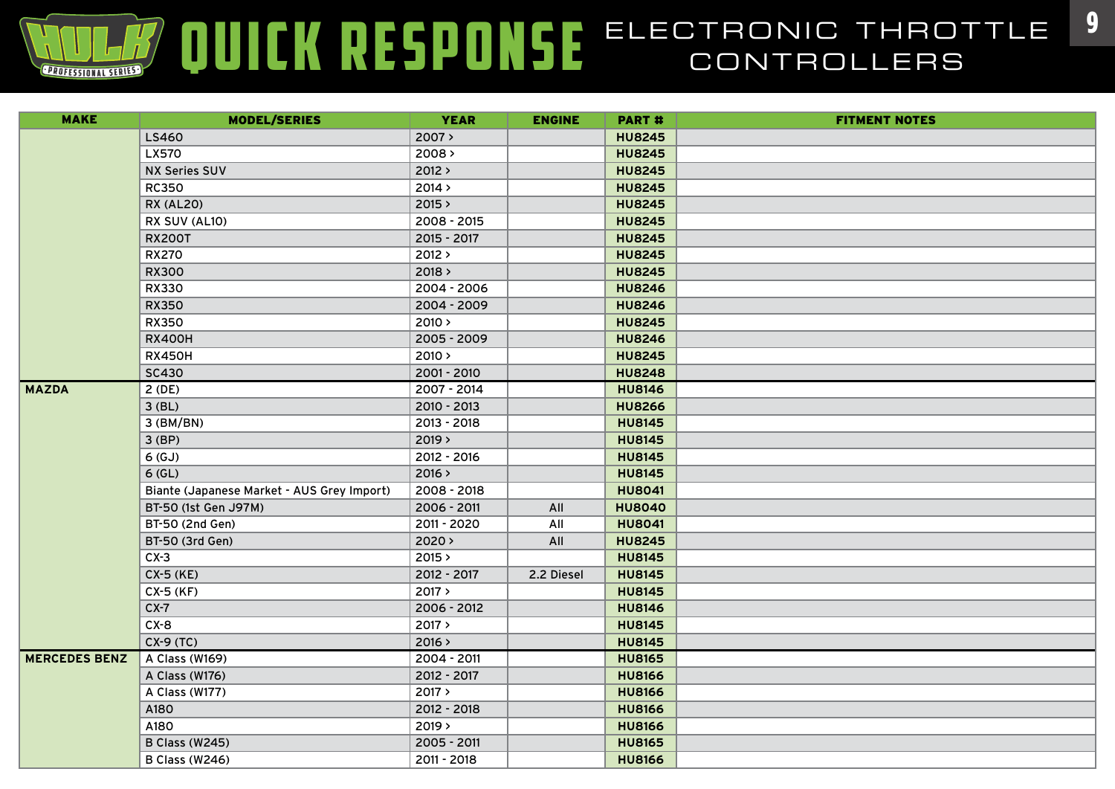| <b>MAKE</b>          | <b>MODEL/SERIES</b>                        | <b>YEAR</b> | <b>ENGINE</b> | <b>PART#</b>  | <b>FITMENT NOTES</b> |
|----------------------|--------------------------------------------|-------------|---------------|---------------|----------------------|
|                      | LS460                                      | 2007>       |               | <b>HU8245</b> |                      |
|                      | <b>LX570</b>                               | 2008 >      |               | <b>HU8245</b> |                      |
|                      | <b>NX Series SUV</b>                       | 2012 >      |               | <b>HU8245</b> |                      |
|                      | <b>RC350</b>                               | 2014 >      |               | <b>HU8245</b> |                      |
|                      | <b>RX (AL20)</b>                           | 2015 >      |               | <b>HU8245</b> |                      |
|                      | RX SUV (AL10)                              | 2008 - 2015 |               | <b>HU8245</b> |                      |
|                      | <b>RX200T</b>                              | 2015 - 2017 |               | <b>HU8245</b> |                      |
|                      | <b>RX270</b>                               | 2012 >      |               | <b>HU8245</b> |                      |
|                      | <b>RX300</b>                               | 2018 >      |               | <b>HU8245</b> |                      |
|                      | RX330                                      | 2004 - 2006 |               | <b>HU8246</b> |                      |
|                      | <b>RX350</b>                               | 2004 - 2009 |               | <b>HU8246</b> |                      |
|                      | <b>RX350</b>                               | 2010 >      |               | <b>HU8245</b> |                      |
|                      | <b>RX400H</b>                              | 2005 - 2009 |               | <b>HU8246</b> |                      |
|                      | <b>RX450H</b>                              | 2010 >      |               | <b>HU8245</b> |                      |
|                      | <b>SC430</b>                               | 2001 - 2010 |               | <b>HU8248</b> |                      |
| <b>MAZDA</b>         | 2(DE)                                      | 2007 - 2014 |               | <b>HU8146</b> |                      |
|                      | $3$ (BL)                                   | 2010 - 2013 |               | <b>HU8266</b> |                      |
|                      | 3 (BM/BN)                                  | 2013 - 2018 |               | <b>HU8145</b> |                      |
|                      | $3$ (BP)                                   | 2019 >      |               | <b>HU8145</b> |                      |
|                      | 6(GJ)                                      | 2012 - 2016 |               | <b>HU8145</b> |                      |
|                      | $6$ (GL)                                   | 2016 >      |               | <b>HU8145</b> |                      |
|                      | Biante (Japanese Market - AUS Grey Import) | 2008 - 2018 |               | <b>HU8041</b> |                      |
|                      | BT-50 (1st Gen J97M)                       | 2006 - 2011 | All           | <b>HU8040</b> |                      |
|                      | BT-50 (2nd Gen)                            | 2011 - 2020 | All           | <b>HU8041</b> |                      |
|                      | BT-50 (3rd Gen)                            | $2020$ >    | All           | <b>HU8245</b> |                      |
|                      | $CX-3$                                     | 2015 >      |               | <b>HU8145</b> |                      |
|                      | CX-5 (KE)                                  | 2012 - 2017 | 2.2 Diesel    | <b>HU8145</b> |                      |
|                      | CX-5 (KF)                                  | 2017 >      |               | <b>HU8145</b> |                      |
|                      | $CX-7$                                     | 2006 - 2012 |               | <b>HU8146</b> |                      |
|                      | $CX-8$                                     | 2017 >      |               | <b>HU8145</b> |                      |
|                      | $CX-9(TC)$                                 | 2016 >      |               | <b>HU8145</b> |                      |
| <b>MERCEDES BENZ</b> | A Class (W169)                             | 2004 - 2011 |               | <b>HU8165</b> |                      |
|                      | A Class (W176)                             | 2012 - 2017 |               | <b>HU8166</b> |                      |
|                      | A Class (W177)                             | 2017 >      |               | <b>HU8166</b> |                      |
|                      | A180                                       | 2012 - 2018 |               | <b>HU8166</b> |                      |
|                      | A180                                       | 2019 >      |               | <b>HU8166</b> |                      |
|                      | <b>B Class (W245)</b>                      | 2005 - 2011 |               | <b>HU8165</b> |                      |
|                      | B Class (W246)                             | 2011 - 2018 |               | <b>HU8166</b> |                      |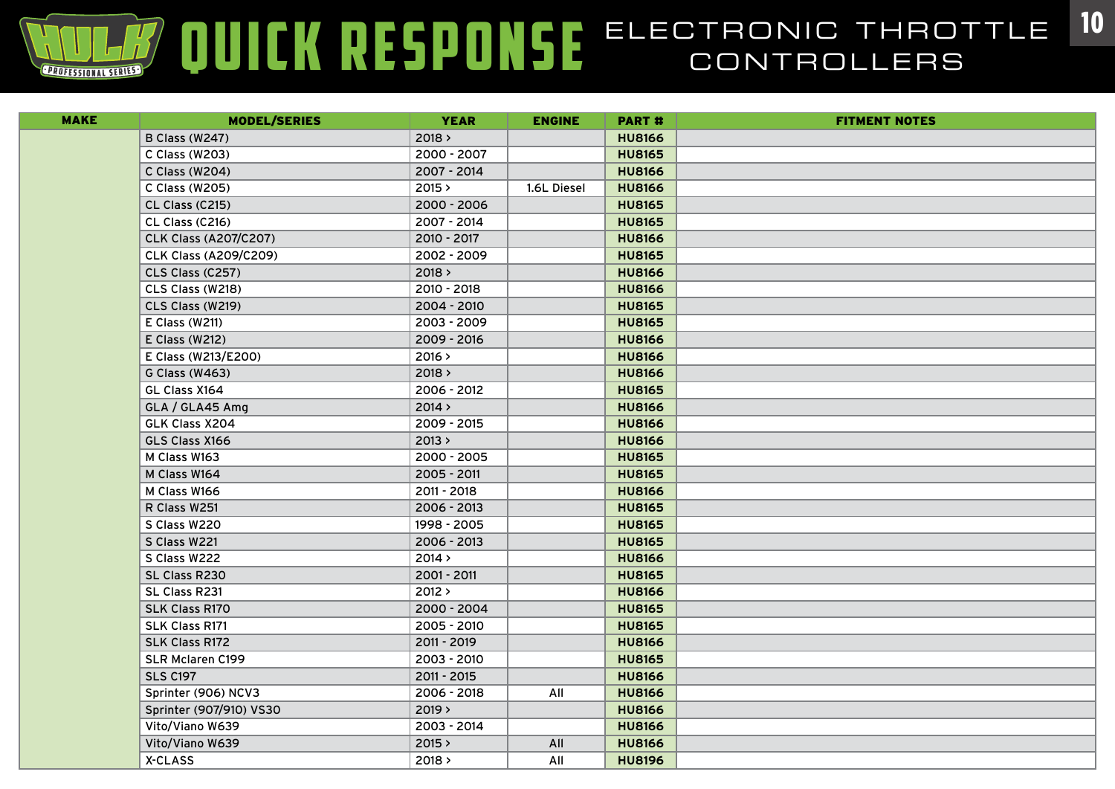| <b>MAKE</b> | <b>MODEL/SERIES</b>          | <b>YEAR</b> | <b>ENGINE</b> | <b>PART#</b>  | <b>FITMENT NOTES</b> |
|-------------|------------------------------|-------------|---------------|---------------|----------------------|
|             | <b>B Class (W247)</b>        | 2018 >      |               | <b>HU8166</b> |                      |
|             | C Class (W203)               | 2000 - 2007 |               | <b>HU8165</b> |                      |
|             | C Class (W204)               | 2007 - 2014 |               | <b>HU8166</b> |                      |
|             | C Class (W205)               | 2015 >      | 1.6L Diesel   | <b>HU8166</b> |                      |
|             | CL Class (C215)              | 2000 - 2006 |               | <b>HU8165</b> |                      |
|             | CL Class (C216)              | 2007 - 2014 |               | <b>HU8165</b> |                      |
|             | <b>CLK Class (A207/C207)</b> | 2010 - 2017 |               | <b>HU8166</b> |                      |
|             | <b>CLK Class (A209/C209)</b> | 2002 - 2009 |               | <b>HU8165</b> |                      |
|             | CLS Class (C257)             | 2018 >      |               | <b>HU8166</b> |                      |
|             | CLS Class (W218)             | 2010 - 2018 |               | <b>HU8166</b> |                      |
|             | CLS Class (W219)             | 2004 - 2010 |               | <b>HU8165</b> |                      |
|             | E Class (W211)               | 2003 - 2009 |               | <b>HU8165</b> |                      |
|             | E Class (W212)               | 2009 - 2016 |               | <b>HU8166</b> |                      |
|             | E Class (W213/E200)          | 2016 >      |               | <b>HU8166</b> |                      |
|             | G Class (W463)               | 2018 >      |               | <b>HU8166</b> |                      |
|             | GL Class X164                | 2006 - 2012 |               | <b>HU8165</b> |                      |
|             | GLA / GLA45 Amg              | 2014 >      |               | <b>HU8166</b> |                      |
|             | GLK Class X204               | 2009 - 2015 |               | <b>HU8166</b> |                      |
|             | GLS Class X166               | 2013 >      |               | <b>HU8166</b> |                      |
|             | M Class W163                 | 2000 - 2005 |               | <b>HU8165</b> |                      |
|             | M Class W164                 | 2005 - 2011 |               | <b>HU8165</b> |                      |
|             | M Class W166                 | 2011 - 2018 |               | <b>HU8166</b> |                      |
|             | R Class W251                 | 2006 - 2013 |               | <b>HU8165</b> |                      |
|             | S Class W220                 | 1998 - 2005 |               | <b>HU8165</b> |                      |
|             | S Class W221                 | 2006 - 2013 |               | <b>HU8165</b> |                      |
|             | S Class W222                 | 2014 >      |               | <b>HU8166</b> |                      |
|             | SL Class R230                | 2001 - 2011 |               | <b>HU8165</b> |                      |
|             | SL Class R231                | 2012 >      |               | <b>HU8166</b> |                      |
|             | <b>SLK Class R170</b>        | 2000 - 2004 |               | <b>HU8165</b> |                      |
|             | <b>SLK Class R171</b>        | 2005 - 2010 |               | <b>HU8165</b> |                      |
|             | <b>SLK Class R172</b>        | 2011 - 2019 |               | <b>HU8166</b> |                      |
|             | <b>SLR Mclaren C199</b>      | 2003 - 2010 |               | <b>HU8165</b> |                      |
|             | <b>SLS C197</b>              | 2011 - 2015 |               | <b>HU8166</b> |                      |
|             | Sprinter (906) NCV3          | 2006 - 2018 | All           | <b>HU8166</b> |                      |
|             | Sprinter (907/910) VS30      | 2019 >      |               | <b>HU8166</b> |                      |
|             | Vito/Viano W639              | 2003 - 2014 |               | <b>HU8166</b> |                      |
|             | Vito/Viano W639              | 2015 >      | All           | <b>HU8166</b> |                      |
|             | X-CLASS                      | 2018 >      | All           | <b>HU8196</b> |                      |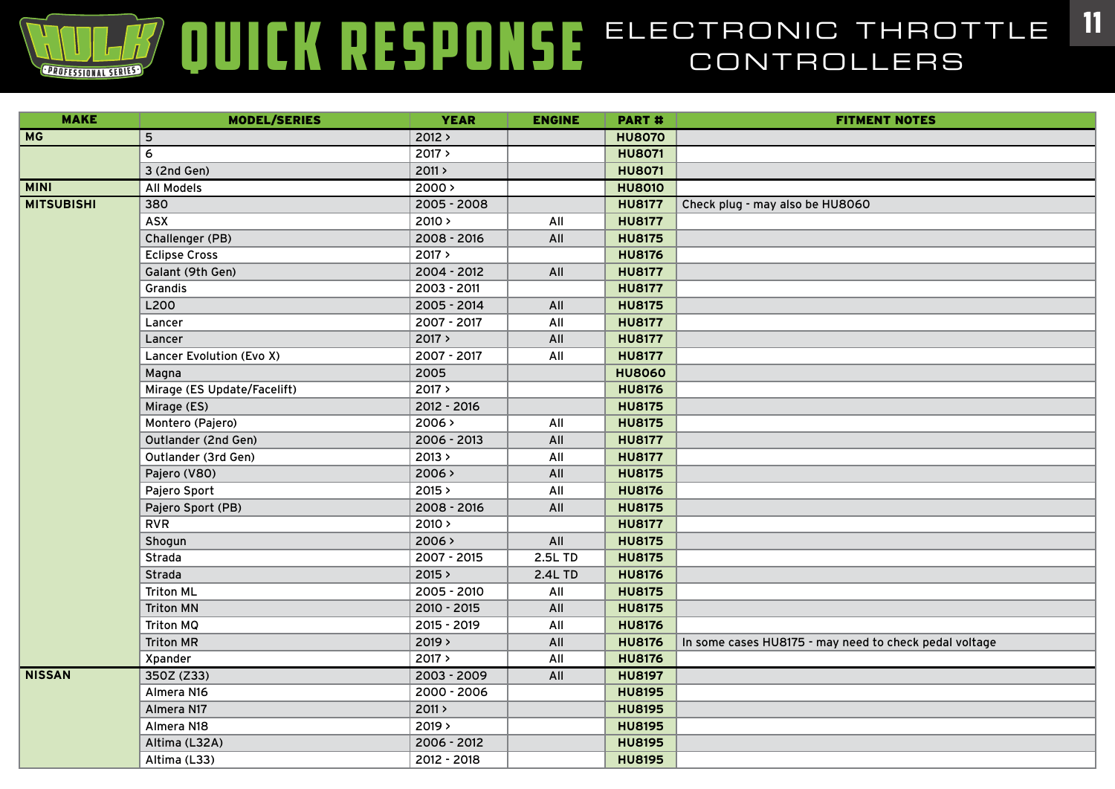| <b>MAKE</b>       | <b>MODEL/SERIES</b>         | <b>YEAR</b> | <b>ENGINE</b> | <b>PART#</b>  | <b>FITMENT NOTES</b>                                   |
|-------------------|-----------------------------|-------------|---------------|---------------|--------------------------------------------------------|
| <b>MG</b>         | 5                           | 2012 >      |               | <b>HU8070</b> |                                                        |
|                   | 6                           | 2017 >      |               | <b>HU8071</b> |                                                        |
|                   | 3 (2nd Gen)                 | 2011 >      |               | <b>HU8071</b> |                                                        |
| <b>MINI</b>       | <b>All Models</b>           | 2000 >      |               | <b>HU8010</b> |                                                        |
| <b>MITSUBISHI</b> | 380                         | 2005 - 2008 |               | <b>HU8177</b> | Check plug - may also be HU8060                        |
|                   | <b>ASX</b>                  | 2010 >      | All           | <b>HU8177</b> |                                                        |
|                   | Challenger (PB)             | 2008 - 2016 | All           | <b>HU8175</b> |                                                        |
|                   | <b>Eclipse Cross</b>        | 2017 >      |               | <b>HU8176</b> |                                                        |
|                   | Galant (9th Gen)            | 2004 - 2012 | All           | <b>HU8177</b> |                                                        |
|                   | Grandis                     | 2003 - 2011 |               | <b>HU8177</b> |                                                        |
|                   | L200                        | 2005 - 2014 | All           | <b>HU8175</b> |                                                        |
|                   | Lancer                      | 2007 - 2017 | All           | <b>HU8177</b> |                                                        |
|                   | Lancer                      | 2017 >      | All           | <b>HU8177</b> |                                                        |
|                   | Lancer Evolution (Evo X)    | 2007 - 2017 | All           | <b>HU8177</b> |                                                        |
|                   | Magna                       | 2005        |               | <b>HU8060</b> |                                                        |
|                   | Mirage (ES Update/Facelift) | 2017 >      |               | <b>HU8176</b> |                                                        |
|                   | Mirage (ES)                 | 2012 - 2016 |               | <b>HU8175</b> |                                                        |
|                   | Montero (Pajero)            | 2006>       | All           | <b>HU8175</b> |                                                        |
|                   | Outlander (2nd Gen)         | 2006 - 2013 | All           | <b>HU8177</b> |                                                        |
|                   | Outlander (3rd Gen)         | 2013 >      | All           | <b>HU8177</b> |                                                        |
|                   | Pajero (V80)                | 2006 >      | All           | <b>HU8175</b> |                                                        |
|                   | Pajero Sport                | 2015 >      | All           | <b>HU8176</b> |                                                        |
|                   | Pajero Sport (PB)           | 2008 - 2016 | All           | <b>HU8175</b> |                                                        |
|                   | <b>RVR</b>                  | 2010 >      |               | <b>HU8177</b> |                                                        |
|                   | Shogun                      | 2006 >      | All           | <b>HU8175</b> |                                                        |
|                   | Strada                      | 2007 - 2015 | 2.5L TD       | <b>HU8175</b> |                                                        |
|                   | Strada                      | 2015 >      | 2.4L TD       | <b>HU8176</b> |                                                        |
|                   | <b>Triton ML</b>            | 2005 - 2010 | All           | <b>HU8175</b> |                                                        |
|                   | <b>Triton MN</b>            | 2010 - 2015 | All           | <b>HU8175</b> |                                                        |
|                   | Triton MQ                   | 2015 - 2019 | All           | <b>HU8176</b> |                                                        |
|                   | <b>Triton MR</b>            | 2019 >      | All           | <b>HU8176</b> | In some cases HU8175 - may need to check pedal voltage |
|                   | Xpander                     | 2017 >      | All           | <b>HU8176</b> |                                                        |
| <b>NISSAN</b>     | 350Z (Z33)                  | 2003 - 2009 | All           | <b>HU8197</b> |                                                        |
|                   | Almera N16                  | 2000 - 2006 |               | <b>HU8195</b> |                                                        |
|                   | Almera N17                  | 2011 >      |               | <b>HU8195</b> |                                                        |
|                   | Almera N18                  | 2019 >      |               | <b>HU8195</b> |                                                        |
|                   | Altima (L32A)               | 2006 - 2012 |               | <b>HU8195</b> |                                                        |
|                   | Altima (L33)                | 2012 - 2018 |               | <b>HU8195</b> |                                                        |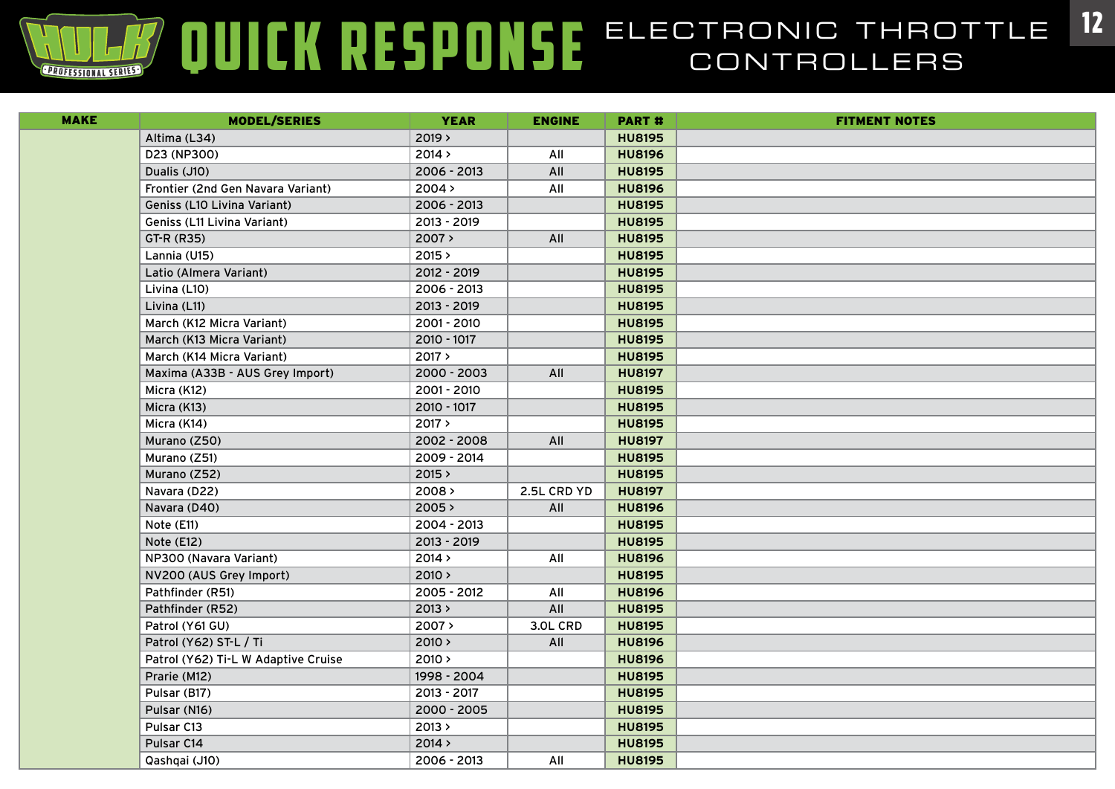| <b>MAKE</b> | <b>MODEL/SERIES</b>                 | <b>YEAR</b>   | <b>ENGINE</b> | <b>PART#</b>  | <b>FITMENT NOTES</b> |
|-------------|-------------------------------------|---------------|---------------|---------------|----------------------|
|             | Altima (L34)                        | 2019 >        |               | <b>HU8195</b> |                      |
|             | D23 (NP300)                         | 2014 >        | All           | <b>HU8196</b> |                      |
|             | Dualis (J10)                        | 2006 - 2013   | All           | <b>HU8195</b> |                      |
|             | Frontier (2nd Gen Navara Variant)   | 2004 >        | All           | <b>HU8196</b> |                      |
|             | Geniss (L10 Livina Variant)         | $2006 - 2013$ |               | <b>HU8195</b> |                      |
|             | Geniss (L11 Livina Variant)         | 2013 - 2019   |               | <b>HU8195</b> |                      |
|             | GT-R (R35)                          | 2007 >        | All           | <b>HU8195</b> |                      |
|             | Lannia (U15)                        | 2015 >        |               | <b>HU8195</b> |                      |
|             | Latio (Almera Variant)              | 2012 - 2019   |               | <b>HU8195</b> |                      |
|             | Livina (L10)                        | 2006 - 2013   |               | <b>HU8195</b> |                      |
|             | Livina (L11)                        | 2013 - 2019   |               | <b>HU8195</b> |                      |
|             | March (K12 Micra Variant)           | 2001 - 2010   |               | <b>HU8195</b> |                      |
|             | March (K13 Micra Variant)           | 2010 - 1017   |               | <b>HU8195</b> |                      |
|             | March (K14 Micra Variant)           | 2017 >        |               | <b>HU8195</b> |                      |
|             | Maxima (A33B - AUS Grey Import)     | $2000 - 2003$ | All           | <b>HU8197</b> |                      |
|             | Micra (K12)                         | 2001 - 2010   |               | <b>HU8195</b> |                      |
|             | Micra (K13)                         | 2010 - 1017   |               | <b>HU8195</b> |                      |
|             | Micra (K14)                         | 2017 >        |               | <b>HU8195</b> |                      |
|             | Murano (Z50)                        | 2002 - 2008   | All           | <b>HU8197</b> |                      |
|             | Murano (Z51)                        | 2009 - 2014   |               | <b>HU8195</b> |                      |
|             | Murano (Z52)                        | 2015 >        |               | <b>HU8195</b> |                      |
|             | Navara (D22)                        | 2008 >        | 2.5L CRD YD   | <b>HU8197</b> |                      |
|             | Navara (D40)                        | 2005 >        | All           | <b>HU8196</b> |                      |
|             | Note (E11)                          | $2004 - 2013$ |               | <b>HU8195</b> |                      |
|             | Note (E12)                          | 2013 - 2019   |               | <b>HU8195</b> |                      |
|             | NP300 (Navara Variant)              | 2014 >        | All           | <b>HU8196</b> |                      |
|             | NV200 (AUS Grey Import)             | 2010 >        |               | <b>HU8195</b> |                      |
|             | Pathfinder (R51)                    | 2005 - 2012   | All           | <b>HU8196</b> |                      |
|             | Pathfinder (R52)                    | 2013 >        | All           | <b>HU8195</b> |                      |
|             | Patrol (Y61 GU)                     | 2007 >        | 3.OL CRD      | <b>HU8195</b> |                      |
|             | Patrol (Y62) ST-L / Ti              | 2010 >        | All           | <b>HU8196</b> |                      |
|             | Patrol (Y62) Ti-L W Adaptive Cruise | 2010 >        |               | <b>HU8196</b> |                      |
|             | Prarie (M12)                        | 1998 - 2004   |               | <b>HU8195</b> |                      |
|             | Pulsar (B17)                        | 2013 - 2017   |               | <b>HU8195</b> |                      |
|             | Pulsar (N16)                        | 2000 - 2005   |               | <b>HU8195</b> |                      |
|             | Pulsar C13                          | 2013 >        |               | <b>HU8195</b> |                      |
|             | Pulsar C14                          | 2014 >        |               | <b>HU8195</b> |                      |
|             | Qashqai (J10)                       | 2006 - 2013   | All           | <b>HU8195</b> |                      |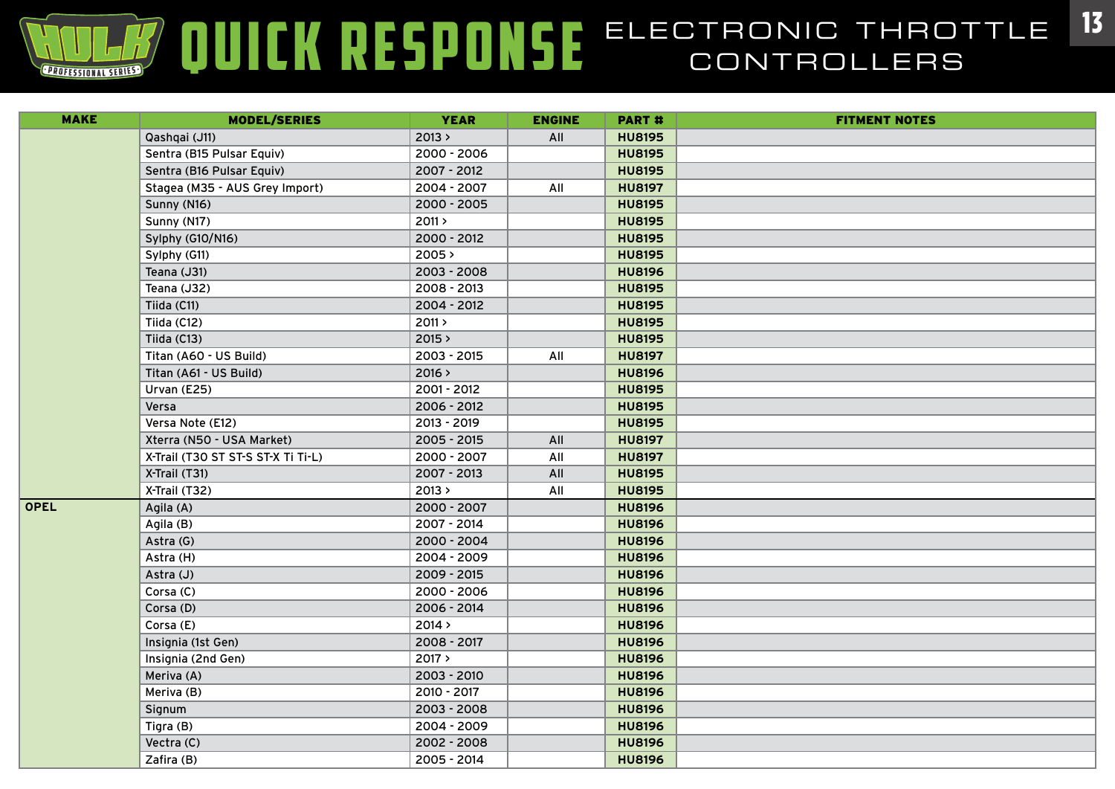| <b>MAKE</b> | <b>MODEL/SERIES</b>                | <b>YEAR</b> | <b>ENGINE</b> | <b>PART#</b>  | <b>FITMENT NOTES</b> |
|-------------|------------------------------------|-------------|---------------|---------------|----------------------|
|             | Qashqai (J11)                      | 2013 >      | All           | <b>HU8195</b> |                      |
|             | Sentra (B15 Pulsar Equiv)          | 2000 - 2006 |               | <b>HU8195</b> |                      |
|             | Sentra (B16 Pulsar Equiv)          | 2007 - 2012 |               | <b>HU8195</b> |                      |
|             | Stagea (M35 - AUS Grey Import)     | 2004 - 2007 | All           | <b>HU8197</b> |                      |
|             | Sunny (N16)                        | 2000 - 2005 |               | <b>HU8195</b> |                      |
|             | Sunny (N17)                        | 2011 >      |               | <b>HU8195</b> |                      |
|             | Sylphy (G10/N16)                   | 2000 - 2012 |               | <b>HU8195</b> |                      |
|             | Sylphy (G11)                       | 2005 >      |               | <b>HU8195</b> |                      |
|             | Teana (J31)                        | 2003 - 2008 |               | <b>HU8196</b> |                      |
|             | Teana (J32)                        | 2008 - 2013 |               | <b>HU8195</b> |                      |
|             | Tiida (C11)                        | 2004 - 2012 |               | <b>HU8195</b> |                      |
|             | Tiida (C12)                        | 2011 >      |               | <b>HU8195</b> |                      |
|             | Tiida (C13)                        | 2015 >      |               | <b>HU8195</b> |                      |
|             | Titan (A60 - US Build)             | 2003 - 2015 | All           | <b>HU8197</b> |                      |
|             | Titan (A61 - US Build)             | 2016 >      |               | <b>HU8196</b> |                      |
|             | Urvan (E25)                        | 2001 - 2012 |               | <b>HU8195</b> |                      |
|             | Versa                              | 2006 - 2012 |               | <b>HU8195</b> |                      |
|             | Versa Note (E12)                   | 2013 - 2019 |               | <b>HU8195</b> |                      |
|             | Xterra (N50 - USA Market)          | 2005 - 2015 | All           | <b>HU8197</b> |                      |
|             | X-Trail (T30 ST ST-S ST-X Ti Ti-L) | 2000 - 2007 | All           | <b>HU8197</b> |                      |
|             | X-Trail (T31)                      | 2007 - 2013 | All           | <b>HU8195</b> |                      |
|             | X-Trail (T32)                      | 2013 >      | All           | <b>HU8195</b> |                      |
| <b>OPEL</b> | Agila (A)                          | 2000 - 2007 |               | <b>HU8196</b> |                      |
|             | Agila (B)                          | 2007 - 2014 |               | <b>HU8196</b> |                      |
|             | Astra (G)                          | 2000 - 2004 |               | <b>HU8196</b> |                      |
|             | Astra (H)                          | 2004 - 2009 |               | <b>HU8196</b> |                      |
|             | Astra (J)                          | 2009 - 2015 |               | <b>HU8196</b> |                      |
|             | Corsa (C)                          | 2000 - 2006 |               | <b>HU8196</b> |                      |
|             | Corsa (D)                          | 2006 - 2014 |               | <b>HU8196</b> |                      |
|             | Corsa (E)                          | 2014 >      |               | <b>HU8196</b> |                      |
|             | Insignia (1st Gen)                 | 2008 - 2017 |               | <b>HU8196</b> |                      |
|             | Insignia (2nd Gen)                 | 2017 >      |               | <b>HU8196</b> |                      |
|             | Meriva (A)                         | 2003 - 2010 |               | <b>HU8196</b> |                      |
|             | Meriva (B)                         | 2010 - 2017 |               | <b>HU8196</b> |                      |
|             | Signum                             | 2003 - 2008 |               | <b>HU8196</b> |                      |
|             | Tigra (B)                          | 2004 - 2009 |               | <b>HU8196</b> |                      |
|             | Vectra (C)                         | 2002 - 2008 |               | <b>HU8196</b> |                      |
|             | Zafira (B)                         | 2005 - 2014 |               | <b>HU8196</b> |                      |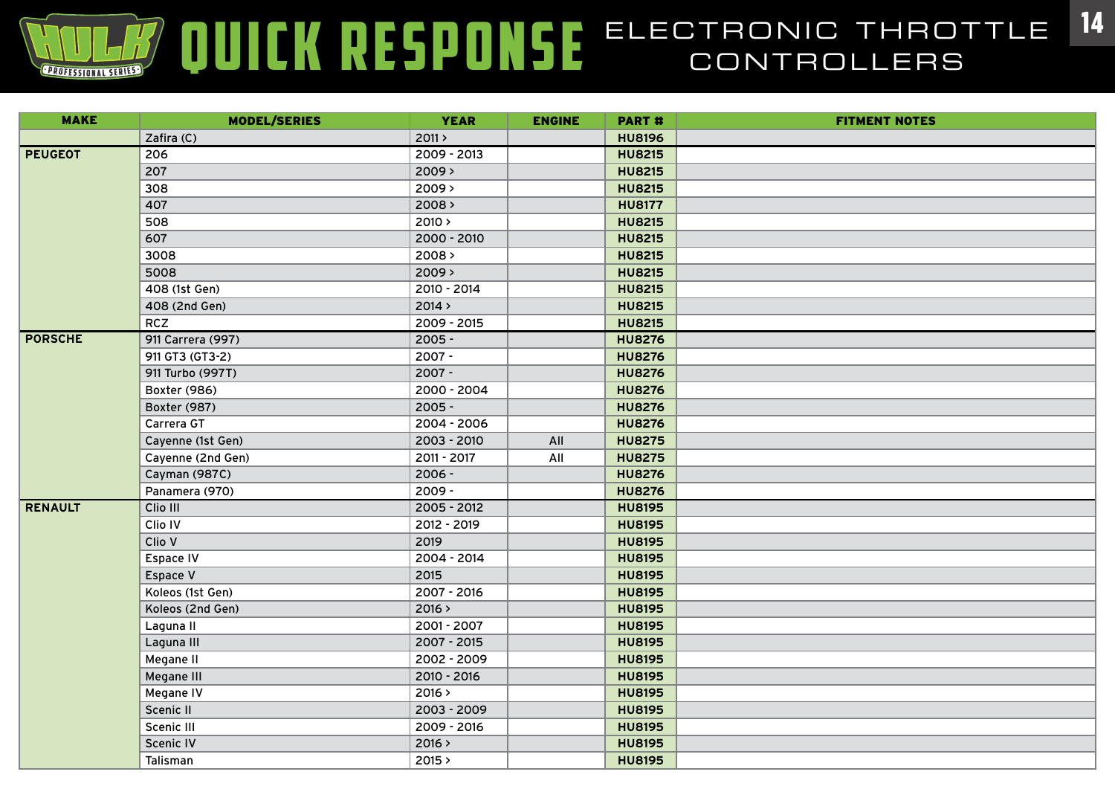| <b>MAKE</b>    | <b>MODEL/SERIES</b> | <b>YEAR</b>   | <b>ENGINE</b> | PART #        | <b>FITMENT NOTES</b> |
|----------------|---------------------|---------------|---------------|---------------|----------------------|
|                | Zafira (C)          | 2011 >        |               | <b>HU8196</b> |                      |
| <b>PEUGEOT</b> | 206                 | 2009 - 2013   |               | <b>HU8215</b> |                      |
|                | 207                 | 2009 >        |               | <b>HU8215</b> |                      |
|                | 308                 | $2009$ >      |               | <b>HU8215</b> |                      |
|                | 407                 | 2008 >        |               | <b>HU8177</b> |                      |
|                | 508                 | 2010 >        |               | <b>HU8215</b> |                      |
|                | 607                 | 2000 - 2010   |               | <b>HU8215</b> |                      |
|                | 3008                | 2008          |               | <b>HU8215</b> |                      |
|                | 5008                | $2009$ >      |               | <b>HU8215</b> |                      |
|                | 408 (1st Gen)       | 2010 - 2014   |               | <b>HU8215</b> |                      |
|                | 408 (2nd Gen)       | 2014 >        |               | <b>HU8215</b> |                      |
|                | <b>RCZ</b>          | 2009 - 2015   |               | <b>HU8215</b> |                      |
| <b>PORSCHE</b> | 911 Carrera (997)   | $2005 -$      |               | <b>HU8276</b> |                      |
|                | 911 GT3 (GT3-2)     | $2007 -$      |               | <b>HU8276</b> |                      |
|                | 911 Turbo (997T)    | $2007 -$      |               | <b>HU8276</b> |                      |
|                | Boxter (986)        | 2000 - 2004   |               | <b>HU8276</b> |                      |
|                | Boxter (987)        | $2005 -$      |               | <b>HU8276</b> |                      |
|                | Carrera GT          | 2004 - 2006   |               | <b>HU8276</b> |                      |
|                | Cayenne (1st Gen)   | 2003 - 2010   | All           | <b>HU8275</b> |                      |
|                | Cayenne (2nd Gen)   | 2011 - 2017   | All           | <b>HU8275</b> |                      |
|                | Cayman (987C)       | $2006 -$      |               | <b>HU8276</b> |                      |
|                | Panamera (970)      | $2009 -$      |               | <b>HU8276</b> |                      |
| <b>RENAULT</b> | Clio III            | $2005 - 2012$ |               | <b>HU8195</b> |                      |
|                | Clio IV             | 2012 - 2019   |               | <b>HU8195</b> |                      |
|                | Clio V              | 2019          |               | <b>HU8195</b> |                      |
|                | Espace IV           | 2004 - 2014   |               | <b>HU8195</b> |                      |
|                | Espace V            | 2015          |               | <b>HU8195</b> |                      |
|                | Koleos (1st Gen)    | 2007 - 2016   |               | <b>HU8195</b> |                      |
|                | Koleos (2nd Gen)    | 2016 >        |               | <b>HU8195</b> |                      |
|                | Laguna II           | 2001 - 2007   |               | <b>HU8195</b> |                      |
|                | Laguna III          | 2007 - 2015   |               | <b>HU8195</b> |                      |
|                | Megane II           | 2002 - 2009   |               | <b>HU8195</b> |                      |
|                | Megane III          | 2010 - 2016   |               | <b>HU8195</b> |                      |
|                | Megane IV           | 2016 >        |               | <b>HU8195</b> |                      |
|                | Scenic II           | 2003 - 2009   |               | <b>HU8195</b> |                      |
|                | Scenic III          | 2009 - 2016   |               | <b>HU8195</b> |                      |
|                | Scenic IV           | 2016 >        |               | <b>HU8195</b> |                      |
|                | Talisman            | 2015 >        |               | <b>HU8195</b> |                      |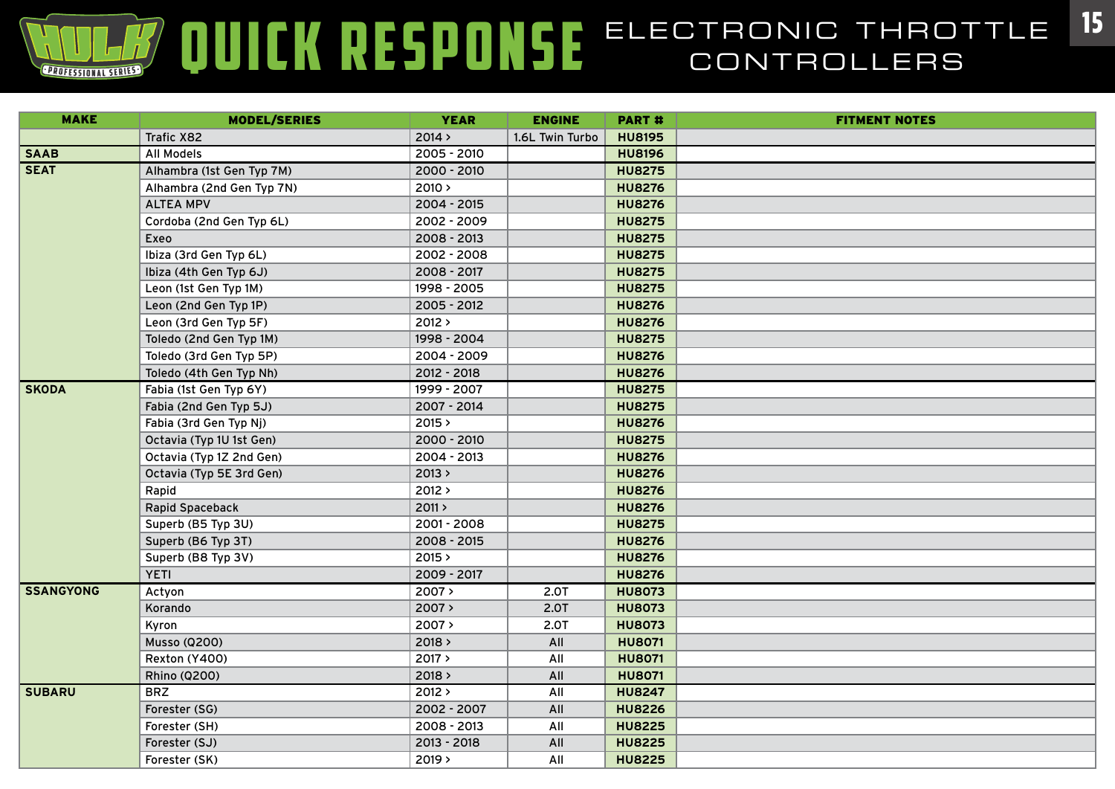| <b>MAKE</b>      | <b>MODEL/SERIES</b>       | <b>YEAR</b> | <b>ENGINE</b>   | PART#         | <b>FITMENT NOTES</b> |
|------------------|---------------------------|-------------|-----------------|---------------|----------------------|
|                  | Trafic X82                | 2014 >      | 1.6L Twin Turbo | <b>HU8195</b> |                      |
| <b>SAAB</b>      | <b>All Models</b>         | 2005 - 2010 |                 | <b>HU8196</b> |                      |
| <b>SEAT</b>      | Alhambra (1st Gen Typ 7M) | 2000 - 2010 |                 | <b>HU8275</b> |                      |
|                  | Alhambra (2nd Gen Typ 7N) | 2010 >      |                 | <b>HU8276</b> |                      |
|                  | <b>ALTEA MPV</b>          | 2004 - 2015 |                 | <b>HU8276</b> |                      |
|                  | Cordoba (2nd Gen Typ 6L)  | 2002 - 2009 |                 | <b>HU8275</b> |                      |
|                  | Exeo                      | 2008 - 2013 |                 | <b>HU8275</b> |                      |
|                  | Ibiza (3rd Gen Typ 6L)    | 2002 - 2008 |                 | <b>HU8275</b> |                      |
|                  | Ibiza (4th Gen Typ 6J)    | 2008 - 2017 |                 | <b>HU8275</b> |                      |
|                  | Leon (1st Gen Typ 1M)     | 1998 - 2005 |                 | <b>HU8275</b> |                      |
|                  | Leon (2nd Gen Typ 1P)     | 2005 - 2012 |                 | <b>HU8276</b> |                      |
|                  | Leon (3rd Gen Typ 5F)     | 2012 >      |                 | <b>HU8276</b> |                      |
|                  | Toledo (2nd Gen Typ 1M)   | 1998 - 2004 |                 | <b>HU8275</b> |                      |
|                  | Toledo (3rd Gen Typ 5P)   | 2004 - 2009 |                 | <b>HU8276</b> |                      |
|                  | Toledo (4th Gen Typ Nh)   | 2012 - 2018 |                 | <b>HU8276</b> |                      |
| <b>SKODA</b>     | Fabia (1st Gen Typ 6Y)    | 1999 - 2007 |                 | <b>HU8275</b> |                      |
|                  | Fabia (2nd Gen Typ 5J)    | 2007 - 2014 |                 | <b>HU8275</b> |                      |
|                  | Fabia (3rd Gen Typ Nj)    | 2015 >      |                 | <b>HU8276</b> |                      |
|                  | Octavia (Typ 1U 1st Gen)  | 2000 - 2010 |                 | <b>HU8275</b> |                      |
|                  | Octavia (Typ 1Z 2nd Gen)  | 2004 - 2013 |                 | <b>HU8276</b> |                      |
|                  | Octavia (Typ 5E 3rd Gen)  | 2013 >      |                 | <b>HU8276</b> |                      |
|                  | Rapid                     | 2012 >      |                 | <b>HU8276</b> |                      |
|                  | Rapid Spaceback           | 2011 >      |                 | <b>HU8276</b> |                      |
|                  | Superb (B5 Typ 3U)        | 2001 - 2008 |                 | <b>HU8275</b> |                      |
|                  | Superb (B6 Typ 3T)        | 2008 - 2015 |                 | <b>HU8276</b> |                      |
|                  | Superb (B8 Typ 3V)        | 2015 >      |                 | <b>HU8276</b> |                      |
|                  | <b>YETI</b>               | 2009 - 2017 |                 | <b>HU8276</b> |                      |
| <b>SSANGYONG</b> | Actyon                    | 2007>       | 2.0T            | <b>HU8073</b> |                      |
|                  | Korando                   | 2007 >      | 2.0T            | <b>HU8073</b> |                      |
|                  | Kyron                     | 2007 >      | 2.0T            | <b>HU8073</b> |                      |
|                  | <b>Musso (Q200)</b>       | 2018 >      | All             | <b>HU8071</b> |                      |
|                  | Rexton (Y400)             | 2017 >      | All             | <b>HU8071</b> |                      |
|                  | <b>Rhino (Q200)</b>       | 2018 >      | All             | <b>HU8071</b> |                      |
| <b>SUBARU</b>    | <b>BRZ</b>                | 2012 >      | All             | <b>HU8247</b> |                      |
|                  | Forester (SG)             | 2002 - 2007 | All             | <b>HU8226</b> |                      |
|                  | Forester (SH)             | 2008 - 2013 | All             | <b>HU8225</b> |                      |
|                  | Forester (SJ)             | 2013 - 2018 | All             | <b>HU8225</b> |                      |
|                  | Forester (SK)             | $2019$ >    | All             | <b>HU8225</b> |                      |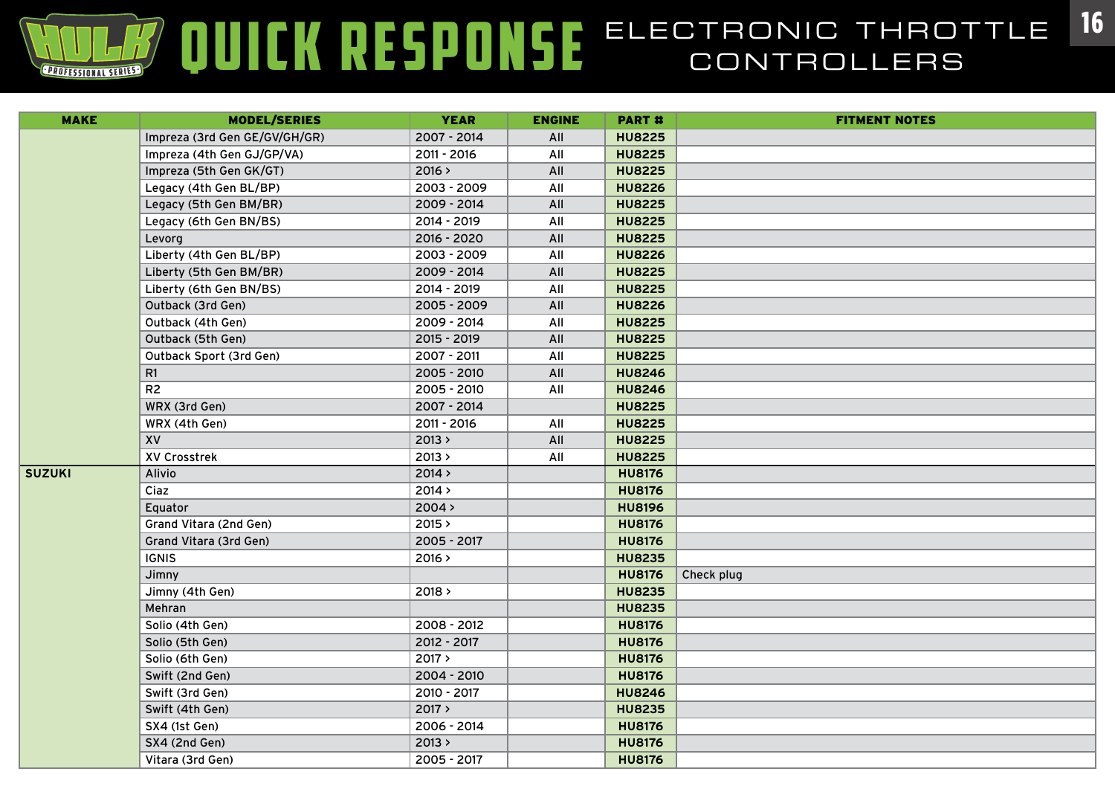| <b>MAKE</b>   | <b>MODEL/SERIES</b>           | <b>YEAR</b> | <b>ENGINE</b> | <b>PART#</b>  | <b>FITMENT NOTES</b> |
|---------------|-------------------------------|-------------|---------------|---------------|----------------------|
|               | Impreza (3rd Gen GE/GV/GH/GR) | 2007 - 2014 | All           | <b>HU8225</b> |                      |
|               | Impreza (4th Gen GJ/GP/VA)    | 2011 - 2016 | All           | <b>HU8225</b> |                      |
|               | Impreza (5th Gen GK/GT)       | 2016 >      | All           | <b>HU8225</b> |                      |
|               | Legacy (4th Gen BL/BP)        | 2003 - 2009 | All           | <b>HU8226</b> |                      |
|               | Legacy (5th Gen BM/BR)        | 2009 - 2014 | All           | <b>HU8225</b> |                      |
|               | Legacy (6th Gen BN/BS)        | 2014 - 2019 | All           | <b>HU8225</b> |                      |
|               | Levorg                        | 2016 - 2020 | All           | <b>HU8225</b> |                      |
|               | Liberty (4th Gen BL/BP)       | 2003 - 2009 | All           | <b>HU8226</b> |                      |
|               | Liberty (5th Gen BM/BR)       | 2009 - 2014 | All           | <b>HU8225</b> |                      |
|               | Liberty (6th Gen BN/BS)       | 2014 - 2019 | All           | <b>HU8225</b> |                      |
|               | Outback (3rd Gen)             | 2005 - 2009 | All           | <b>HU8226</b> |                      |
|               | Outback (4th Gen)             | 2009 - 2014 | All           | <b>HU8225</b> |                      |
|               | Outback (5th Gen)             | 2015 - 2019 | All           | <b>HU8225</b> |                      |
|               | Outback Sport (3rd Gen)       | 2007 - 2011 | All           | <b>HU8225</b> |                      |
|               | R1                            | 2005 - 2010 | All           | <b>HU8246</b> |                      |
|               | R <sub>2</sub>                | 2005 - 2010 | All           | <b>HU8246</b> |                      |
|               | WRX (3rd Gen)                 | 2007 - 2014 |               | <b>HU8225</b> |                      |
|               | WRX (4th Gen)                 | 2011 - 2016 | All           | <b>HU8225</b> |                      |
|               | XV                            | 2013 >      | All           | <b>HU8225</b> |                      |
|               | XV Crosstrek                  | 2013 >      | All           | <b>HU8225</b> |                      |
| <b>SUZUKI</b> | Alivio                        | 2014 >      |               | <b>HU8176</b> |                      |
|               | Ciaz                          | 2014 >      |               | <b>HU8176</b> |                      |
|               | Equator                       | 2004 >      |               | <b>HU8196</b> |                      |
|               | Grand Vitara (2nd Gen)        | 2015 >      |               | <b>HU8176</b> |                      |
|               | Grand Vitara (3rd Gen)        | 2005 - 2017 |               | <b>HU8176</b> |                      |
|               | <b>IGNIS</b>                  | 2016 >      |               | <b>HU8235</b> |                      |
|               | Jimny                         |             |               | <b>HU8176</b> | Check plug           |
|               | Jimny (4th Gen)               | 2018 >      |               | <b>HU8235</b> |                      |
|               | Mehran                        |             |               | <b>HU8235</b> |                      |
|               | Solio (4th Gen)               | 2008 - 2012 |               | <b>HU8176</b> |                      |
|               | Solio (5th Gen)               | 2012 - 2017 |               | <b>HU8176</b> |                      |
|               | Solio (6th Gen)               | 2017 >      |               | <b>HU8176</b> |                      |
|               | Swift (2nd Gen)               | 2004 - 2010 |               | <b>HU8176</b> |                      |
|               | Swift (3rd Gen)               | 2010 - 2017 |               | <b>HU8246</b> |                      |
|               | Swift (4th Gen)               | 2017 >      |               | <b>HU8235</b> |                      |
|               | SX4 (1st Gen)                 | 2006 - 2014 |               | <b>HU8176</b> |                      |
|               | SX4 (2nd Gen)                 | 2013 >      |               | <b>HU8176</b> |                      |
|               | Vitara (3rd Gen)              | 2005 - 2017 |               | <b>HU8176</b> |                      |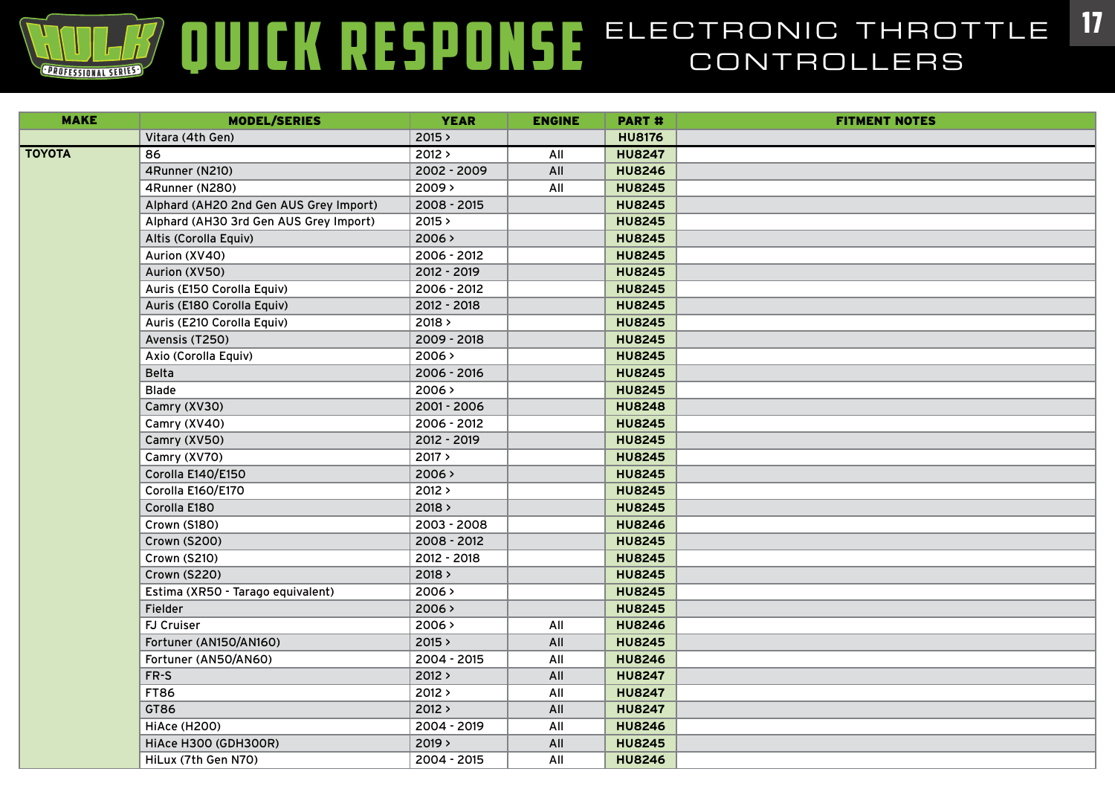| <b>MAKE</b>   | <b>MODEL/SERIES</b>                    | <b>YEAR</b> | <b>ENGINE</b> | <b>PART#</b>  | <b>FITMENT NOTES</b> |
|---------------|----------------------------------------|-------------|---------------|---------------|----------------------|
|               | Vitara (4th Gen)                       | 2015 >      |               | <b>HU8176</b> |                      |
| <b>TOYOTA</b> | 86                                     | 2012 >      | All           | <b>HU8247</b> |                      |
|               | 4Runner (N210)                         | 2002 - 2009 | All           | <b>HU8246</b> |                      |
|               | 4Runner (N280)                         | 2009 >      | All           | <b>HU8245</b> |                      |
|               | Alphard (AH2O 2nd Gen AUS Grey Import) | 2008 - 2015 |               | <b>HU8245</b> |                      |
|               | Alphard (AH30 3rd Gen AUS Grey Import) | 2015 >      |               | <b>HU8245</b> |                      |
|               | Altis (Corolla Equiv)                  | 2006 >      |               | <b>HU8245</b> |                      |
|               | Aurion (XV40)                          | 2006 - 2012 |               | <b>HU8245</b> |                      |
|               | Aurion (XV50)                          | 2012 - 2019 |               | <b>HU8245</b> |                      |
|               | Auris (E150 Corolla Equiv)             | 2006 - 2012 |               | <b>HU8245</b> |                      |
|               | Auris (E180 Corolla Equiv)             | 2012 - 2018 |               | <b>HU8245</b> |                      |
|               | Auris (E210 Corolla Equiv)             | 2018 >      |               | <b>HU8245</b> |                      |
|               | Avensis (T250)                         | 2009 - 2018 |               | <b>HU8245</b> |                      |
|               | Axio (Corolla Equiv)                   | 2006 >      |               | <b>HU8245</b> |                      |
|               | <b>Belta</b>                           | 2006 - 2016 |               | <b>HU8245</b> |                      |
|               | <b>Blade</b>                           | 2006 >      |               | <b>HU8245</b> |                      |
|               | Camry (XV30)                           | 2001 - 2006 |               | <b>HU8248</b> |                      |
|               | Camry (XV40)                           | 2006 - 2012 |               | <b>HU8245</b> |                      |
|               | Camry (XV50)                           | 2012 - 2019 |               | <b>HU8245</b> |                      |
|               | Camry (XV70)                           | 2017 >      |               | <b>HU8245</b> |                      |
|               | Corolla E140/E150                      | 2006 >      |               | <b>HU8245</b> |                      |
|               | Corolla E160/E170                      | 2012 >      |               | <b>HU8245</b> |                      |
|               | Corolla E180                           | 2018 >      |               | <b>HU8245</b> |                      |
|               | Crown (S180)                           | 2003 - 2008 |               | <b>HU8246</b> |                      |
|               | Crown (S200)                           | 2008 - 2012 |               | <b>HU8245</b> |                      |
|               | Crown (S210)                           | 2012 - 2018 |               | <b>HU8245</b> |                      |
|               | <b>Crown (S220)</b>                    | 2018 >      |               | <b>HU8245</b> |                      |
|               | Estima (XR50 - Tarago equivalent)      | 2006 >      |               | <b>HU8245</b> |                      |
|               | <b>Fielder</b>                         | 2006 >      |               | <b>HU8245</b> |                      |
|               | <b>FJ Cruiser</b>                      | 2006 >      | All           | <b>HU8246</b> |                      |
|               | Fortuner (AN150/AN160)                 | 2015 >      | All           | <b>HU8245</b> |                      |
|               | Fortuner (AN50/AN60)                   | 2004 - 2015 | All           | <b>HU8246</b> |                      |
|               | FR-S                                   | 2012 >      | All           | <b>HU8247</b> |                      |
|               | <b>FT86</b>                            | 2012>       | All           | <b>HU8247</b> |                      |
|               | GT86                                   | 2012 >      | All           | <b>HU8247</b> |                      |
|               | <b>HiAce (H200)</b>                    | 2004 - 2019 | All           | <b>HU8246</b> |                      |
|               | HiAce H300 (GDH300R)                   | 2019 >      | All           | <b>HU8245</b> |                      |
|               | HiLux (7th Gen N70)                    | 2004 - 2015 | All           | <b>HU8246</b> |                      |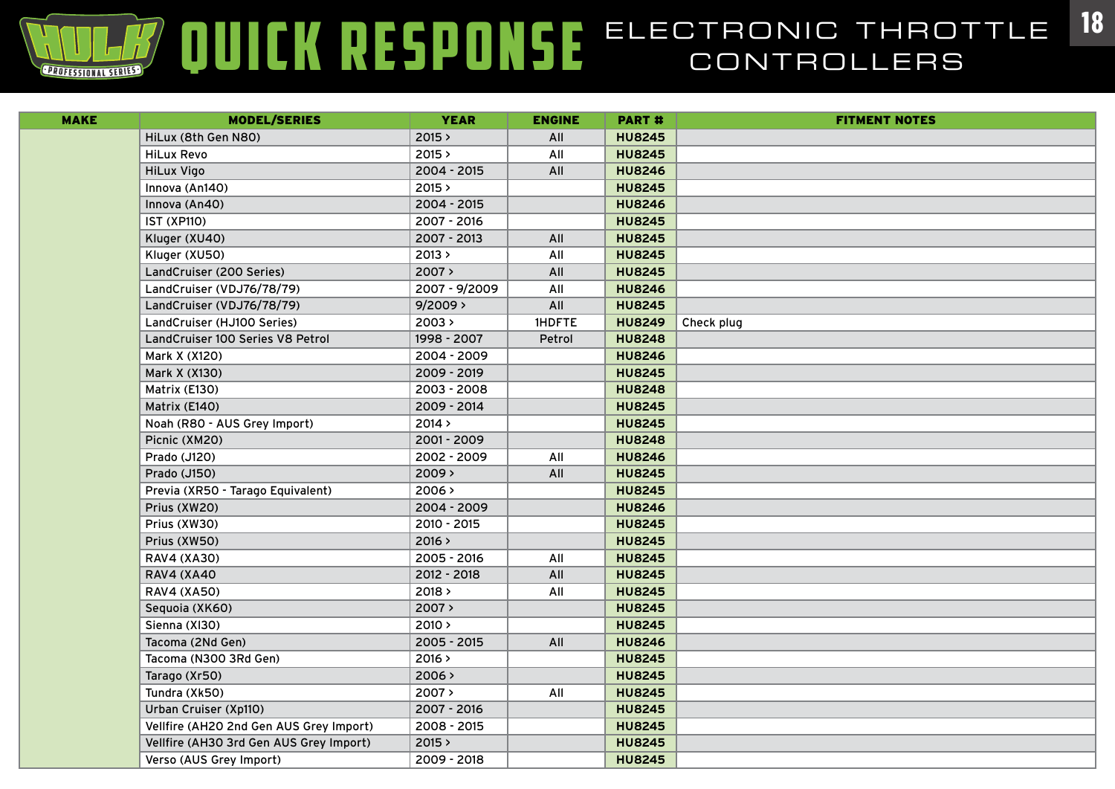# **ELECTRONIC ELECTRONIC THROTTLE 18**

| <b>MAKE</b> | <b>MODEL/SERIES</b>                     | <b>YEAR</b>   | <b>ENGINE</b> | <b>PART#</b>  | <b>FITMENT NOTES</b> |
|-------------|-----------------------------------------|---------------|---------------|---------------|----------------------|
|             | HiLux (8th Gen N80)                     | 2015 >        | All           | <b>HU8245</b> |                      |
|             | <b>HiLux Revo</b>                       | 2015 >        | All           | <b>HU8245</b> |                      |
|             | <b>HiLux Vigo</b>                       | 2004 - 2015   | All           | <b>HU8246</b> |                      |
|             | Innova (An140)                          | 2015 >        |               | <b>HU8245</b> |                      |
|             | Innova (An40)                           | 2004 - 2015   |               | <b>HU8246</b> |                      |
|             | <b>IST (XP110)</b>                      | 2007 - 2016   |               | <b>HU8245</b> |                      |
|             | Kluger (XU40)                           | 2007 - 2013   | All           | <b>HU8245</b> |                      |
|             | Kluger (XU50)                           | 2013 >        | All           | <b>HU8245</b> |                      |
|             | LandCruiser (200 Series)                | 2007 >        | All           | <b>HU8245</b> |                      |
|             | LandCruiser (VDJ76/78/79)               | 2007 - 9/2009 | All           | <b>HU8246</b> |                      |
|             | LandCruiser (VDJ76/78/79)               | 9/2009        | All           | <b>HU8245</b> |                      |
|             | LandCruiser (HJ100 Series)              | 2003 >        | <b>IHDFTE</b> | <b>HU8249</b> | Check plug           |
|             | LandCruiser 100 Series V8 Petrol        | 1998 - 2007   | Petrol        | <b>HU8248</b> |                      |
|             | Mark X (X120)                           | 2004 - 2009   |               | <b>HU8246</b> |                      |
|             | Mark X (X130)                           | 2009 - 2019   |               | <b>HU8245</b> |                      |
|             | Matrix (E130)                           | 2003 - 2008   |               | <b>HU8248</b> |                      |
|             | Matrix (E140)                           | 2009 - 2014   |               | <b>HU8245</b> |                      |
|             | Noah (R80 - AUS Grey Import)            | 2014 >        |               | <b>HU8245</b> |                      |
|             | Picnic (XM20)                           | 2001 - 2009   |               | <b>HU8248</b> |                      |
|             | Prado (J120)                            | 2002 - 2009   | All           | <b>HU8246</b> |                      |
|             | Prado (J150)                            | 2009 >        | All           | <b>HU8245</b> |                      |
|             | Previa (XR50 - Tarago Equivalent)       | 2006 >        |               | <b>HU8245</b> |                      |
|             | Prius (XW20)                            | 2004 - 2009   |               | <b>HU8246</b> |                      |
|             | Prius (XW30)                            | 2010 - 2015   |               | <b>HU8245</b> |                      |
|             | Prius (XW50)                            | 2016 >        |               | <b>HU8245</b> |                      |
|             | <b>RAV4 (XA30)</b>                      | 2005 - 2016   | All           | <b>HU8245</b> |                      |
|             | <b>RAV4 (XA40</b>                       | 2012 - 2018   | All           | <b>HU8245</b> |                      |
|             | <b>RAV4 (XA50)</b>                      | 2018 >        | All           | <b>HU8245</b> |                      |
|             | Sequoia (XK60)                          | 2007 >        |               | <b>HU8245</b> |                      |
|             | Sienna (XI30)                           | 2010 >        |               | <b>HU8245</b> |                      |
|             | Tacoma (2Nd Gen)                        | $2005 - 2015$ | All           | <b>HU8246</b> |                      |
|             | Tacoma (N300 3Rd Gen)                   | 2016 >        |               | <b>HU8245</b> |                      |
|             | Tarago (Xr50)                           | 2006 >        |               | <b>HU8245</b> |                      |
|             | Tundra (Xk50)                           | 2007 >        | All           | <b>HU8245</b> |                      |
|             | Urban Cruiser (Xp110)                   | 2007 - 2016   |               | <b>HU8245</b> |                      |
|             | Vellfire (AH2O 2nd Gen AUS Grey Import) | 2008 - 2015   |               | <b>HU8245</b> |                      |
|             | Vellfire (AH30 3rd Gen AUS Grey Import) | 2015 >        |               | <b>HU8245</b> |                      |
|             | Verso (AUS Grey Import)                 | 2009 - 2018   |               | <b>HU8245</b> |                      |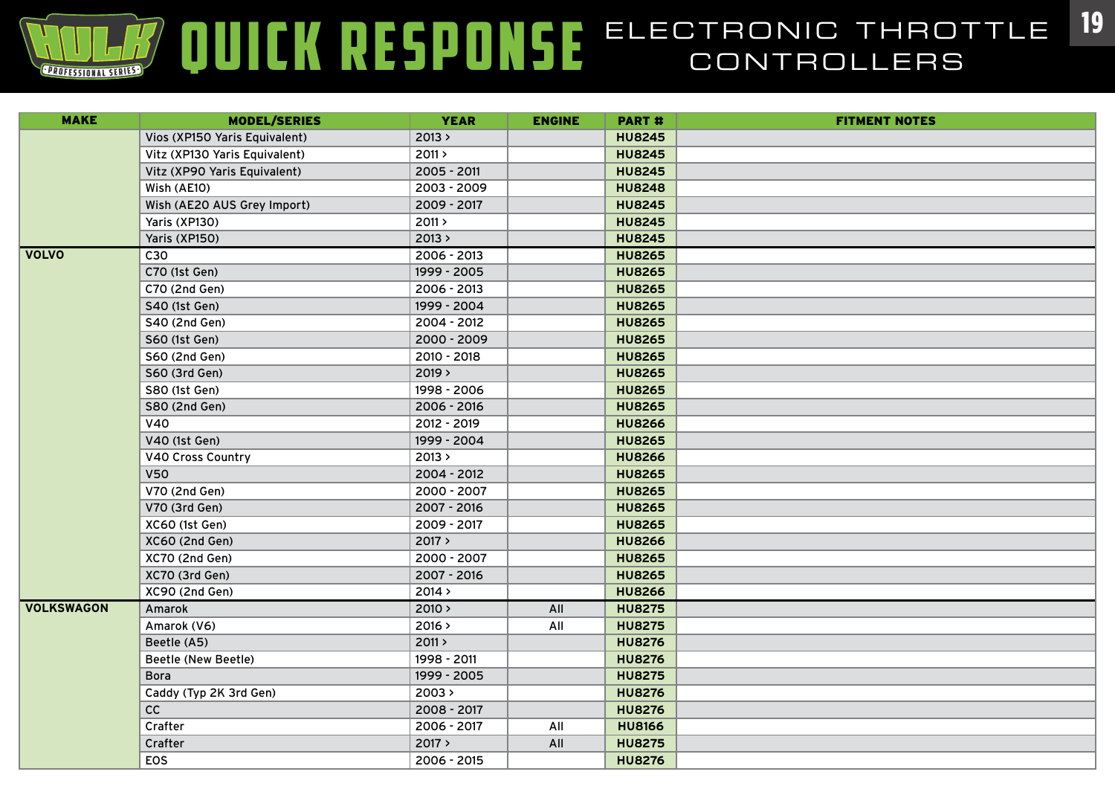| <b>MAKE</b>       | <b>MODEL/SERIES</b>           | <b>YEAR</b> | <b>ENGINE</b> | <b>PART#</b>  | <b>FITMENT NOTES</b> |
|-------------------|-------------------------------|-------------|---------------|---------------|----------------------|
|                   | Vios (XP150 Yaris Equivalent) | 2013 >      |               | <b>HU8245</b> |                      |
|                   | Vitz (XP130 Yaris Equivalent) | 2011 >      |               | <b>HU8245</b> |                      |
|                   | Vitz (XP90 Yaris Equivalent)  | 2005 - 2011 |               | <b>HU8245</b> |                      |
|                   | Wish (AE10)                   | 2003 - 2009 |               | <b>HU8248</b> |                      |
|                   | Wish (AE20 AUS Grey Import)   | 2009 - 2017 |               | <b>HU8245</b> |                      |
|                   | Yaris (XP130)                 | 2011 >      |               | <b>HU8245</b> |                      |
|                   | Yaris (XP150)                 | 2013 >      |               | <b>HU8245</b> |                      |
| <b>VOLVO</b>      | C30                           | 2006 - 2013 |               | <b>HU8265</b> |                      |
|                   | C70 (1st Gen)                 | 1999 - 2005 |               | <b>HU8265</b> |                      |
|                   | C70 (2nd Gen)                 | 2006 - 2013 |               | <b>HU8265</b> |                      |
|                   | S40 (1st Gen)                 | 1999 - 2004 |               | <b>HU8265</b> |                      |
|                   | S40 (2nd Gen)                 | 2004 - 2012 |               | <b>HU8265</b> |                      |
|                   | S60 (1st Gen)                 | 2000 - 2009 |               | <b>HU8265</b> |                      |
|                   | S60 (2nd Gen)                 | 2010 - 2018 |               | <b>HU8265</b> |                      |
|                   | S60 (3rd Gen)                 | 2019 >      |               | <b>HU8265</b> |                      |
|                   | S80 (1st Gen)                 | 1998 - 2006 |               | <b>HU8265</b> |                      |
|                   | S80 (2nd Gen)                 | 2006 - 2016 |               | <b>HU8265</b> |                      |
|                   | V40                           | 2012 - 2019 |               | <b>HU8266</b> |                      |
|                   | V40 (1st Gen)                 | 1999 - 2004 |               | <b>HU8265</b> |                      |
|                   | V40 Cross Country             | 2013 >      |               | <b>HU8266</b> |                      |
|                   | <b>V50</b>                    | 2004 - 2012 |               | <b>HU8265</b> |                      |
|                   | V70 (2nd Gen)                 | 2000 - 2007 |               | <b>HU8265</b> |                      |
|                   | V70 (3rd Gen)                 | 2007 - 2016 |               | <b>HU8265</b> |                      |
|                   | XC60 (1st Gen)                | 2009 - 2017 |               | <b>HU8265</b> |                      |
|                   | XC60 (2nd Gen)                | 2017 >      |               | <b>HU8266</b> |                      |
|                   | XC70 (2nd Gen)                | 2000 - 2007 |               | <b>HU8265</b> |                      |
|                   | XC70 (3rd Gen)                | 2007 - 2016 |               | <b>HU8265</b> |                      |
|                   | XC90 (2nd Gen)                | 2014 >      |               | <b>HU8266</b> |                      |
| <b>VOLKSWAGON</b> | Amarok                        | 2010 >      | All           | <b>HU8275</b> |                      |
|                   | Amarok (V6)                   | 2016 >      | All           | <b>HU8275</b> |                      |
|                   | Beetle (A5)                   | 2011 >      |               | <b>HU8276</b> |                      |
|                   | Beetle (New Beetle)           | 1998 - 2011 |               | <b>HU8276</b> |                      |
|                   | <b>Bora</b>                   | 1999 - 2005 |               | <b>HU8275</b> |                      |
|                   | Caddy (Typ 2K 3rd Gen)        | 2003 >      |               | <b>HU8276</b> |                      |
|                   | cc                            | 2008 - 2017 |               | <b>HU8276</b> |                      |
|                   | Crafter                       | 2006 - 2017 | All           | <b>HU8166</b> |                      |
|                   | Crafter                       | 2017 >      | All           | <b>HU8275</b> |                      |
|                   | EOS                           | 2006 - 2015 |               | <b>HU8276</b> |                      |